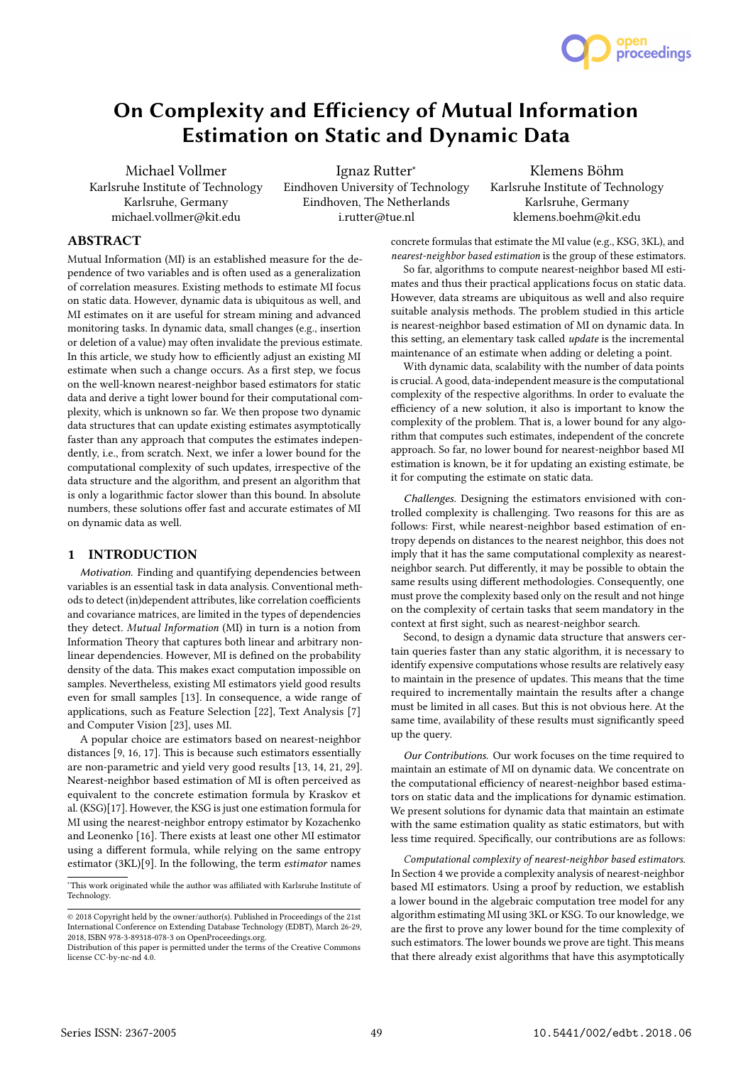

# On Complexity and Efficiency of Mutual Information Estimation on Static and Dynamic Data

Michael Vollmer Karlsruhe Institute of Technology Karlsruhe, Germany michael.vollmer@kit.edu

Ignaz Rutter<sup>∗</sup> Eindhoven University of Technology Eindhoven, The Netherlands i.rutter@tue.nl

Klemens Böhm Karlsruhe Institute of Technology Karlsruhe, Germany klemens.boehm@kit.edu

## ABSTRACT

Mutual Information (MI) is an established measure for the dependence of two variables and is often used as a generalization of correlation measures. Existing methods to estimate MI focus on static data. However, dynamic data is ubiquitous as well, and MI estimates on it are useful for stream mining and advanced monitoring tasks. In dynamic data, small changes (e.g., insertion or deletion of a value) may often invalidate the previous estimate. In this article, we study how to efficiently adjust an existing MI estimate when such a change occurs. As a first step, we focus on the well-known nearest-neighbor based estimators for static data and derive a tight lower bound for their computational complexity, which is unknown so far. We then propose two dynamic data structures that can update existing estimates asymptotically faster than any approach that computes the estimates independently, i.e., from scratch. Next, we infer a lower bound for the computational complexity of such updates, irrespective of the data structure and the algorithm, and present an algorithm that is only a logarithmic factor slower than this bound. In absolute numbers, these solutions offer fast and accurate estimates of MI on dynamic data as well.

## 1 INTRODUCTION

Motivation. Finding and quantifying dependencies between variables is an essential task in data analysis. Conventional methods to detect (in)dependent attributes, like correlation coefficients and covariance matrices, are limited in the types of dependencies they detect. Mutual Information (MI) in turn is a notion from Information Theory that captures both linear and arbitrary nonlinear dependencies. However, MI is defined on the probability density of the data. This makes exact computation impossible on samples. Nevertheless, existing MI estimators yield good results even for small samples [13]. In consequence, a wide range of applications, such as Feature Selection [22], Text Analysis [7] and Computer Vision [23], uses MI.

A popular choice are estimators based on nearest-neighbor distances [9, 16, 17]. This is because such estimators essentially are non-parametric and yield very good results [13, 14, 21, 29]. Nearest-neighbor based estimation of MI is often perceived as equivalent to the concrete estimation formula by Kraskov et al. (KSG)[17]. However, the KSG is just one estimation formula for MI using the nearest-neighbor entropy estimator by Kozachenko and Leonenko [16]. There exists at least one other MI estimator using a different formula, while relying on the same entropy estimator (3KL)[9]. In the following, the term estimator names

concrete formulas that estimate the MI value (e.g., KSG, 3KL), and nearest-neighbor based estimation is the group of these estimators.

So far, algorithms to compute nearest-neighbor based MI estimates and thus their practical applications focus on static data. However, data streams are ubiquitous as well and also require suitable analysis methods. The problem studied in this article is nearest-neighbor based estimation of MI on dynamic data. In this setting, an elementary task called *update* is the incremental maintenance of an estimate when adding or deleting a point.

With dynamic data, scalability with the number of data points is crucial. A good, data-independent measure is the computational complexity of the respective algorithms. In order to evaluate the efficiency of a new solution, it also is important to know the complexity of the problem. That is, a lower bound for any algorithm that computes such estimates, independent of the concrete approach. So far, no lower bound for nearest-neighbor based MI estimation is known, be it for updating an existing estimate, be it for computing the estimate on static data.

Challenges. Designing the estimators envisioned with controlled complexity is challenging. Two reasons for this are as follows: First, while nearest-neighbor based estimation of entropy depends on distances to the nearest neighbor, this does not imply that it has the same computational complexity as nearestneighbor search. Put differently, it may be possible to obtain the same results using different methodologies. Consequently, one must prove the complexity based only on the result and not hinge on the complexity of certain tasks that seem mandatory in the context at first sight, such as nearest-neighbor search.

Second, to design a dynamic data structure that answers certain queries faster than any static algorithm, it is necessary to identify expensive computations whose results are relatively easy to maintain in the presence of updates. This means that the time required to incrementally maintain the results after a change must be limited in all cases. But this is not obvious here. At the same time, availability of these results must significantly speed up the query.

Our Contributions. Our work focuses on the time required to maintain an estimate of MI on dynamic data. We concentrate on the computational efficiency of nearest-neighbor based estimators on static data and the implications for dynamic estimation. We present solutions for dynamic data that maintain an estimate with the same estimation quality as static estimators, but with less time required. Specifically, our contributions are as follows:

Computational complexity of nearest-neighbor based estimators. In Section 4 we provide a complexity analysis of nearest-neighbor based MI estimators. Using a proof by reduction, we establish a lower bound in the algebraic computation tree model for any algorithm estimating MI using 3KL or KSG. To our knowledge, we are the first to prove any lower bound for the time complexity of such estimators. The lower bounds we prove are tight. This means that there already exist algorithms that have this asymptotically

<sup>∗</sup>This work originated while the author was affiliated with Karlsruhe Institute of Technology.

<sup>©</sup> 2018 Copyright held by the owner/author(s). Published in Proceedings of the 21st International Conference on Extending Database Technology (EDBT), March 26-29, 2018, ISBN 978-3-89318-078-3 on OpenProceedings.org.

Distribution of this paper is permitted under the terms of the Creative Commons license CC-by-nc-nd 4.0.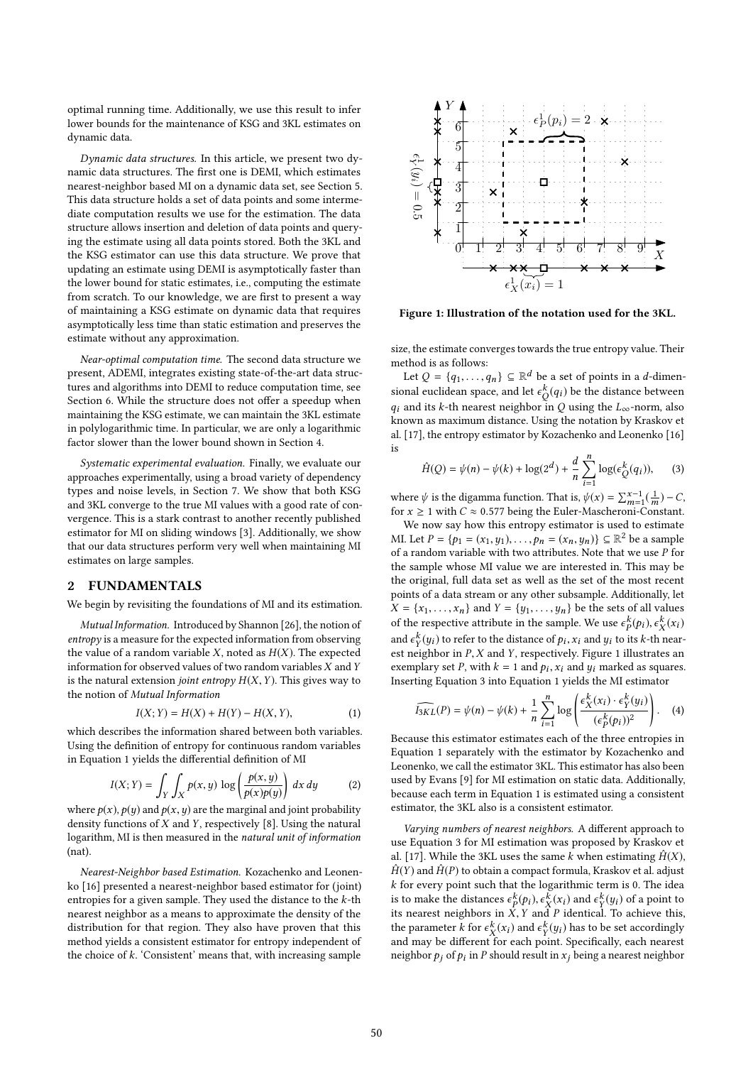optimal running time. Additionally, we use this result to infer lower bounds for the maintenance of KSG and 3KL estimates on dynamic data.

Dynamic data structures. In this article, we present two dynamic data structures. The first one is DEMI, which estimates nearest-neighbor based MI on a dynamic data set, see Section 5. This data structure holds a set of data points and some intermediate computation results we use for the estimation. The data structure allows insertion and deletion of data points and querying the estimate using all data points stored. Both the 3KL and the KSG estimator can use this data structure. We prove that updating an estimate using DEMI is asymptotically faster than the lower bound for static estimates, i.e., computing the estimate from scratch. To our knowledge, we are first to present a way of maintaining a KSG estimate on dynamic data that requires asymptotically less time than static estimation and preserves the estimate without any approximation.

Near-optimal computation time. The second data structure we present, ADEMI, integrates existing state-of-the-art data structures and algorithms into DEMI to reduce computation time, see Section 6. While the structure does not offer a speedup when maintaining the KSG estimate, we can maintain the 3KL estimate in polylogarithmic time. In particular, we are only a logarithmic factor slower than the lower bound shown in Section 4.

Systematic experimental evaluation. Finally, we evaluate our approaches experimentally, using a broad variety of dependency types and noise levels, in Section 7. We show that both KSG and 3KL converge to the true MI values with a good rate of convergence. This is a stark contrast to another recently published estimator for MI on sliding windows [3]. Additionally, we show that our data structures perform very well when maintaining MI estimates on large samples.

## 2 FUNDAMENTALS

We begin by revisiting the foundations of MI and its estimation.

Mutual Information. Introduced by Shannon [26], the notion of entropy is a measure for the expected information from observing the value of a random variable  $X$ , noted as  $H(X)$ . The expected information for observed values of two random variables  $X$  and  $Y$ is the natural extension joint entropy  $H(X, Y)$ . This gives way to the notion of Mutual Information

$$
I(X; Y) = H(X) + H(Y) - H(X, Y),
$$
\n(1)

which describes the information shared between both variables. Using the definition of entropy for continuous random variables in Equation 1 yields the differential definition of MI

$$
I(X; Y) = \int_{Y} \int_{X} p(x, y) \log \left( \frac{p(x, y)}{p(x)p(y)} \right) dx dy
$$
 (2)

where  $p(x)$ ,  $p(y)$  and  $p(x, y)$  are the marginal and joint probability<br>density functions of X and X respectively [8]. Heing the natural density functions of  $X$  and  $Y$ , respectively [8]. Using the natural logarithm, MI is then measured in the natural unit of information (nat).

Nearest-Neighbor based Estimation. Kozachenko and Leonenko [16] presented a nearest-neighbor based estimator for (joint) entropies for a given sample. They used the distance to the  $k$ -th nearest neighbor as a means to approximate the density of the distribution for that region. They also have proven that this method yields a consistent estimator for entropy independent of the choice of  $k$ . 'Consistent' means that, with increasing sample



Figure 1: Illustration of the notation used for the 3KL.

size, the estimate converges towards the true entropy value. Their method is as follows:

Let  $Q = \{q_1, \ldots, q_n\} \subseteq \mathbb{R}^d$  be a set of points in a d-dimen-<br>and qualidate grace, and let  $c^k(a)$  be the distance between sional euclidean space, and let  $\epsilon_{Q}^{k}(q_i)$  be the distance between  $q_i$  and its k-th nearest neighbor in Q using the  $L_{\infty}$ -norm, also known as maximum distance. Heing the notation by Kraskov et known as maximum distance. Using the notation by Kraskov et al. [17], the entropy estimator by Kozachenko and Leonenko [16] is

$$
\hat{H}(Q) = \psi(n) - \psi(k) + \log(2^d) + \frac{d}{n} \sum_{i=1}^n \log(\epsilon_Q^k(q_i)),
$$
 (3)

where  $\psi$  is the digamma function. That is,  $\psi(x) = \sum_{m=1}^{x-1} \left(\frac{1}{m}\right) - C$ , for  $x > 1$  with  $C \approx 0.577$  being the Euler-Mascheroni-Constant. where  $\psi$  is the digamma function. That is,  $\psi(x) = \sum_{m=1}^{\infty} (\frac{1}{m}) - C$ <br>for  $x \ge 1$  with  $C \approx 0.577$  being the Euler-Mascheroni-Constant.

We now say how this entropy estimator is used to estimate MI. Let  $P = \{p_1 = (x_1, y_1), \dots, p_n = (x_n, y_n)\} \subseteq \mathbb{R}^2$  be a sample<br>of a random variable with two attributes. Note that we use *P* for of a random variable with two attributes. Note that we use  $P$  for the sample whose MI value we are interested in. This may be the original, full data set as well as the set of the most recent points of a data stream or any other subsample. Additionally, let  $X = \{x_1, \ldots, x_n\}$  and  $Y = \{y_1, \ldots, y_n\}$  be the sets of all values of the respective attribute in the sample. We use  $\epsilon_P^k(p_i), \epsilon_X^k(x_i)$ and  $\epsilon_Y^k(y_i)$  to refer to the distance of  $p_i$ ,  $x_i$  and  $y_i$  to its k-th near-<br>est neighbor in P Y and Y respectively. Figure 1 illustrates an est neighbor in P, X and Y, respectively. Figure 1 illustrates an exemplary set P, with  $k = 1$  and  $p_k$ , x; and  $y_k$  marked as sources exemplary set P, with  $k = 1$  and  $p_i$ ,  $x_i$  and  $y_i$  marked as squares.<br>Inserting Equation 3 into Equation 1 yields the MI estimator Inserting Equation 3 into Equation 1 yields the MI estimator

$$
\widehat{I_{3KL}}(P) = \psi(n) - \psi(k) + \frac{1}{n} \sum_{i=1}^{n} \log \left( \frac{\epsilon_X^k(x_i) \cdot \epsilon_Y^k(y_i)}{(\epsilon_P^k(p_i))^2} \right).
$$
 (4)  
Because this estimator estimates each of the three entropies in

Equation 1 separately with the estimator by Kozachenko and Leonenko, we call the estimator 3KL. This estimator has also been used by Evans [9] for MI estimation on static data. Additionally, because each term in Equation 1 is estimated using a consistent estimator, the 3KL also is a consistent estimator.

Varying numbers of nearest neighbors. A different approach to use Equation 3 for MI estimation was proposed by Kraskov et al. [17]. While the 3KL uses the same k when estimating  $\hat{H}(X)$ ,  $\hat{H}(Y)$  and  $\hat{H}(P)$  to obtain a compact formula, Kraskov et al. adjust  $k$  for every point such that the logarithmic term is 0. The idea is to make the distances  $\epsilon_P^k(p_i), \epsilon_X^k(x_i)$  and  $\epsilon_Y^k(y_i)$  of a point to its nearest neighbors in X. Y and P identical. To achieve this its nearest neighbors in  $X, Y$  and P identical. To achieve this, the parameter k for  $\epsilon_X^k(x_i)$  and  $\epsilon_Y^k(y_i)$  has to be set accordingly<br>and may be different for each point. Specifically, each nearest and may be different for each point. Specifically, each nearest neighbor  $p_j$  of  $p_i$  in  $P$  should result in  $x_j$  being a nearest neighbor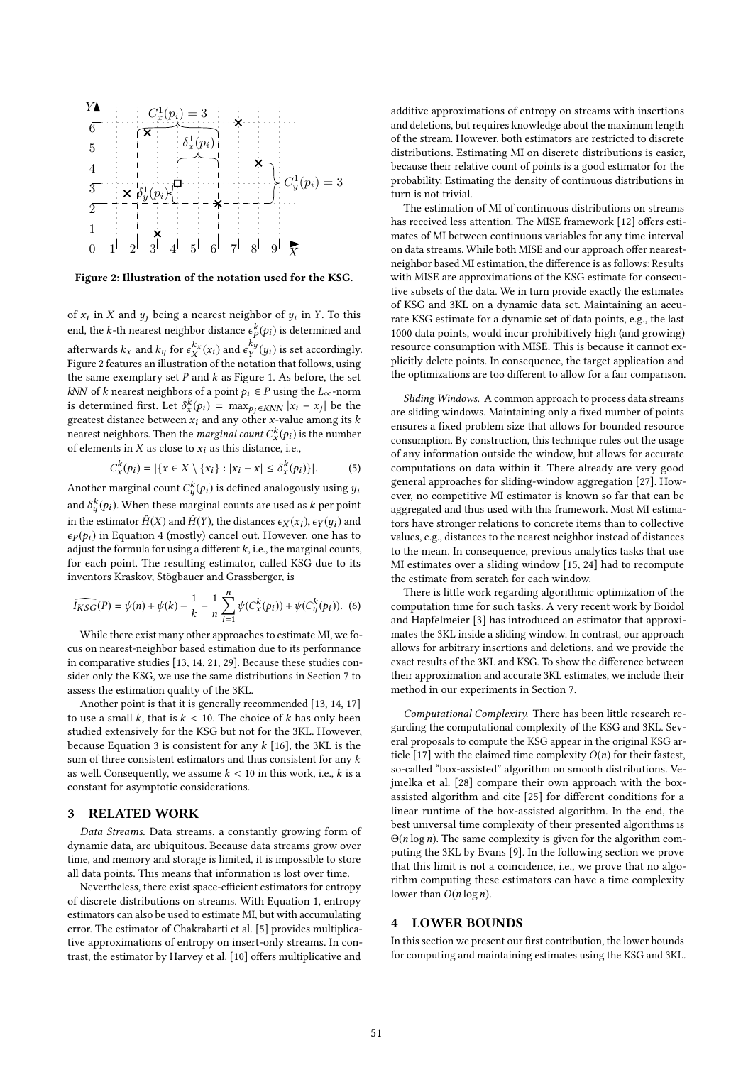

Figure 2: Illustration of the notation used for the KSG.

of  $x_i$  in X and  $y_j$  being a nearest neighbor of  $y_i$  in Y. To this end, the *k*-th nearest neighbor distance  $\epsilon_{k}^{k}(p_{i})$  is determined and afterwards  $k_x$  and  $k_y$  for  $\epsilon_X^{k_x}(x_i)$  and  $\epsilon_Y^{k_y}(y_i)$  is set accordingly.<br>Figure 2 features an illustration of the notation that follows using Figure 2 features an illustration of the notation that follows, using the same exemplary set  $P$  and  $k$  as Figure 1. As before, the set kNN of k nearest neighbors of a point  $p_i \in P$  using the  $L_{\infty}$ -norm is determined first. Let  $\delta_x^k(p_i) = \max_{p_j \in KNN} |x_i - x_j|$  be the greatest distance between x; and any other x-value among its k greatest distance between  $x_i$  and any other x-value among its k<br>peared peighbors. Then the marginal count  $C^k(x)$  is the number nearest neighbors. Then the *marginal count*  $C_x^k(p_i)$  is the number<br>of elements in X as close to x; as this distance, i.e. of elements in X as close to  $x_i$  as this distance, i.e.,

$$
C_x^k(p_i) = |\{x \in X \setminus \{x_i\} : |x_i - x| \le \delta_x^k(p_i)\}|. \tag{5}
$$

Another marginal count  $C_y^k(p_i)$  is defined analogously using  $y_i$ and  $\delta_y^k(p_i)$ . When these marginal counts are used as k per point in the estimator  $\hat{H}(X)$  and  $\hat{H}(Y)$ , the distances  $\epsilon_X(x_i), \epsilon_Y(y_i)$  and  $\epsilon_X(x_i)$ , in Equation 4 (mostly) cancel out. However, one has to  $\epsilon_P(p_i)$  in Equation 4 (mostly) cancel out. However, one has to adjust the formula for using a different  $k$ , i.e., the marginal counts, for each point. The resulting estimator, called KSG due to its inventors Kraskov, Stögbauer and Grassberger, is

$$
\widehat{I_{KSG}}(P) = \psi(n) + \psi(k) - \frac{1}{k} - \frac{1}{n} \sum_{i=1}^{n} \psi(C_x^k(p_i)) + \psi(C_y^k(p_i)).
$$
 (6)  
While there exist many other approaches to estimate MI, we fo-

cus on nearest-neighbor based estimation due to its performance in comparative studies [13, 14, 21, 29]. Because these studies consider only the KSG, we use the same distributions in Section 7 to assess the estimation quality of the 3KL.

Another point is that it is generally recommended [13, 14, 17] to use a small k, that is  $k < 10$ . The choice of k has only been studied extensively for the KSG but not for the 3KL. However, because Equation 3 is consistent for any  $k$  [16], the 3KL is the sum of three consistent estimators and thus consistent for any  $k$ as well. Consequently, we assume  $k < 10$  in this work, i.e., k is a constant for asymptotic considerations.

## 3 RELATED WORK

Data Streams. Data streams, a constantly growing form of dynamic data, are ubiquitous. Because data streams grow over time, and memory and storage is limited, it is impossible to store all data points. This means that information is lost over time.

Nevertheless, there exist space-efficient estimators for entropy of discrete distributions on streams. With Equation 1, entropy estimators can also be used to estimate MI, but with accumulating error. The estimator of Chakrabarti et al. [5] provides multiplicative approximations of entropy on insert-only streams. In contrast, the estimator by Harvey et al. [10] offers multiplicative and

additive approximations of entropy on streams with insertions and deletions, but requires knowledge about the maximum length of the stream. However, both estimators are restricted to discrete distributions. Estimating MI on discrete distributions is easier, because their relative count of points is a good estimator for the probability. Estimating the density of continuous distributions in turn is not trivial.

The estimation of MI of continuous distributions on streams has received less attention. The MISE framework [12] offers estimates of MI between continuous variables for any time interval on data streams. While both MISE and our approach offer nearestneighbor based MI estimation, the difference is as follows: Results with MISE are approximations of the KSG estimate for consecutive subsets of the data. We in turn provide exactly the estimates of KSG and 3KL on a dynamic data set. Maintaining an accurate KSG estimate for a dynamic set of data points, e.g., the last 1000 data points, would incur prohibitively high (and growing) resource consumption with MISE. This is because it cannot explicitly delete points. In consequence, the target application and the optimizations are too different to allow for a fair comparison.

Sliding Windows. A common approach to process data streams are sliding windows. Maintaining only a fixed number of points ensures a fixed problem size that allows for bounded resource consumption. By construction, this technique rules out the usage of any information outside the window, but allows for accurate computations on data within it. There already are very good general approaches for sliding-window aggregation [27]. However, no competitive MI estimator is known so far that can be aggregated and thus used with this framework. Most MI estimators have stronger relations to concrete items than to collective values, e.g., distances to the nearest neighbor instead of distances to the mean. In consequence, previous analytics tasks that use MI estimates over a sliding window [15, 24] had to recompute the estimate from scratch for each window.

There is little work regarding algorithmic optimization of the computation time for such tasks. A very recent work by Boidol and Hapfelmeier [3] has introduced an estimator that approximates the 3KL inside a sliding window. In contrast, our approach allows for arbitrary insertions and deletions, and we provide the exact results of the 3KL and KSG. To show the difference between their approximation and accurate 3KL estimates, we include their method in our experiments in Section 7.

Computational Complexity. There has been little research regarding the computational complexity of the KSG and 3KL. Several proposals to compute the KSG appear in the original KSG article [17] with the claimed time complexity  $O(n)$  for their fastest, so-called "box-assisted" algorithm on smooth distributions. Vejmelka et al. [28] compare their own approach with the boxassisted algorithm and cite [25] for different conditions for a linear runtime of the box-assisted algorithm. In the end, the best universal time complexity of their presented algorithms is  $\Theta(n \log n)$ . The same complexity is given for the algorithm computing the 3KL by Evans [9]. In the following section we prove that this limit is not a coincidence, i.e., we prove that no algorithm computing these estimators can have a time complexity lower than  $O(n \log n)$ .

## 4 LOWER BOUNDS

In this section we present our first contribution, the lower bounds for computing and maintaining estimates using the KSG and 3KL.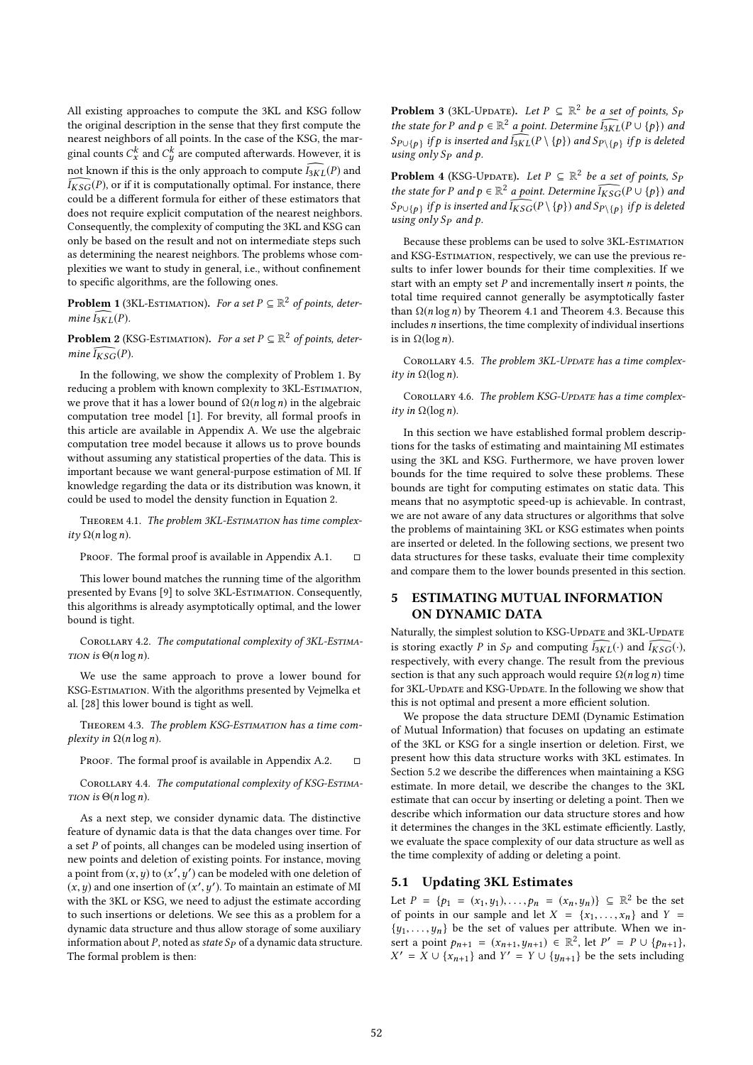All existing approaches to compute the 3KL and KSG follow the original description in the sense that they first compute the nearest neighbors of all points. In the case of the KSG, the marginal counts  $C_x^k$  and  $C_y^k$  are computed afterwards. However, it is not known if this is the only approach to compute  $\widehat{I_{3KL}}(P)$  and  $\widehat{I_{3KL}}(P)$  are if it is computationally ortimal. For instance, there  $\widehat{I_{KSG}}(P)$ , or if it is computationally optimal. For instance, there could be a different formula for either of these estimators that does not require explicit computation of the nearest neighbors. Consequently, the complexity of computing the 3KL and KSG can only be based on the result and not on intermediate steps such as determining the nearest neighbors. The problems whose complexities we want to study in general, i.e., without confinement to specific algorithms, are the following ones.

**Problem 1** (3KL-ESTIMATION). For a set  $P \subseteq \mathbb{R}^2$  of points, determine  $\overline{I_{\infty}(P)}$ mine  $I_{3KL}(P)$ .

**Problem 2** (KSG-ESTIMATION). For a set  $P \subseteq \mathbb{R}^2$  of points, determine  $\overline{L_{\text{max}}(P)}$ mine  $I_{KSG}(P)$ .

In the following, we show the complexity of Problem 1. By reducing a problem with known complexity to 3KL-ESTIMATION, we prove that it has a lower bound of  $\Omega(n \log n)$  in the algebraic computation tree model [1]. For brevity, all formal proofs in this article are available in Appendix A. We use the algebraic computation tree model because it allows us to prove bounds without assuming any statistical properties of the data. This is important because we want general-purpose estimation of MI. If knowledge regarding the data or its distribution was known, it could be used to model the density function in Equation 2.

THEOREM 4.1. The problem 3KL-ESTIMATION has time complexity  $\Omega(n \log n)$ .

PROOF. The formal proof is available in Appendix A.1.  $\Box$ 

This lower bound matches the running time of the algorithm presented by Evans [9] to solve 3KL-EsTIMATION. Consequently, this algorithms is already asymptotically optimal, and the lower bound is tight.

COROLLARY 4.2. The computational complexity of 3KL-ESTIMA-TION is  $\Theta(n \log n)$ .

We use the same approach to prove a lower bound for KSG-Estimation. With the algorithms presented by Vejmelka et al. [28] this lower bound is tight as well.

THEOREM 4.3. The problem KSG-ESTIMATION has a time complexity in  $\Omega(n \log n)$ .

PROOF. The formal proof is available in Appendix A.2.  $\Box$ 

COROLLARY 4.4. The computational complexity of KSG-ESTIMA-TION is  $\Theta(n \log n)$ .

As a next step, we consider dynamic data. The distinctive feature of dynamic data is that the data changes over time. For a set P of points, all changes can be modeled using insertion of new points and deletion of existing points. For instance, moving a point from  $(x, y)$  to  $(x', y')$  can be modeled with one deletion of  $(x', y')$ .  $(x, y)$  and one insertion of  $(x', y')$ . To maintain an estimate of MI<br>with the 3KI or KSG, we need to adjust the estimate occording with the 3KL or KSG, we need to adjust the estimate according to such insertions or deletions. We see this as a problem for a dynamic data structure and thus allow storage of some auxiliary information about P, noted as state  $Sp$  of a dynamic data structure. The formal problem is then:

**Problem 3** (3KL-Update). Let  $P \subseteq \mathbb{R}^2$  be a set of points, S<sub>F</sub><br>the state for *P* and  $p \in \mathbb{R}^2$  a point Determine  $\overline{L_{\text{av}}(P \cup \{p\})}$  and the state for P and  $p \in \mathbb{R}^2$  a point. Determine  $\widehat{I_{3KL}}(P \cup \{p\})$  and  $S$  and  $\widehat{I_{3KL}}(P \cup \{p\})$  and  $S$  and  $\widehat{I_{3KL}}(P \cup \{p\})$  and  $S$  and  $\widehat{I_{3KL}}(P \cup \{p\})$  $S_{P\cup \{p\}}$  if p is inserted and  $\widehat{I_{3KL}}(P \setminus \{p\})$  and  $S_{P\setminus \{p\}}$  if p is deleted<br>using only Sp and h using only  $Sp$  and  $p$ .

**Problem 4** (KSG-Update). Let  $P \subseteq \mathbb{R}^2$  be a set of points, S<sub>F</sub><br>the state for B and  $p \in \mathbb{R}^2$  a point. Determine  $\overline{L_{\text{max}}}(P \cup \{p\})$  and the state for P and  $p \in \mathbb{R}^2$  a point. Determine  $\widehat{I_{KSG}}(P \cup \{p\})$  and  $S$  and  $\widehat{I_{KSG}}(P \cup \{p\})$  and  $S$  and  $\widehat{I_{KSG}}(P \cup \{p\})$  and  $S$  and  $\widehat{I_{KSG}}(P \cup \{p\})$  and  $S$  and  $\widehat{I_{KSG}}(P \cup \{p\})$  and  $S$  and  $S$  $S_{P\cup \{p\}}$  if p is inserted and  $\widehat{I_{KSG}}(P \setminus \{p\})$  and  $S_{P\setminus \{p\}}$  if p is deleted<br>using only Sp and n using only  $S_p$  and  $p$ .

Because these problems can be used to solve 3KL-Estimation and KSG-Estimation, respectively, we can use the previous results to infer lower bounds for their time complexities. If we start with an empty set  $P$  and incrementally insert  $n$  points, the total time required cannot generally be asymptotically faster than  $\Omega(n \log n)$  by Theorem 4.1 and Theorem 4.3. Because this includes n insertions, the time complexity of individual insertions is in  $Ω(log n)$ .

COROLLARY 4.5. The problem 3KL-UPDATE has a time complexity in  $\Omega(\log n)$ .

COROLLARY 4.6. The problem KSG-UPDATE has a time complexity in  $\Omega(\log n)$ .

In this section we have established formal problem descriptions for the tasks of estimating and maintaining MI estimates using the 3KL and KSG. Furthermore, we have proven lower bounds for the time required to solve these problems. These bounds are tight for computing estimates on static data. This means that no asymptotic speed-up is achievable. In contrast, we are not aware of any data structures or algorithms that solve the problems of maintaining 3KL or KSG estimates when points are inserted or deleted. In the following sections, we present two data structures for these tasks, evaluate their time complexity and compare them to the lower bounds presented in this section.

## 5 ESTIMATING MUTUAL INFORMATION ON DYNAMIC DATA

Naturally, the simplest solution to KSG-UpDATE and 3KL-UpDATE is storing exactly P in S<sub>P</sub> and computing  $\widehat{I_{3KL}}(\cdot)$  and  $\widehat{I_{KSG}}(\cdot)$ , respectively, with every change. The result from the previous section is that any such approach would require  $\Omega(n \log n)$  time for 3KL-Update and KSG-Update. In the following we show that this is not optimal and present a more efficient solution.

We propose the data structure DEMI (Dynamic Estimation of Mutual Information) that focuses on updating an estimate of the 3KL or KSG for a single insertion or deletion. First, we present how this data structure works with 3KL estimates. In Section 5.2 we describe the differences when maintaining a KSG estimate. In more detail, we describe the changes to the 3KL estimate that can occur by inserting or deleting a point. Then we describe which information our data structure stores and how it determines the changes in the 3KL estimate efficiently. Lastly, we evaluate the space complexity of our data structure as well as the time complexity of adding or deleting a point.

## 5.1 Updating 3KL Estimates

Let  $P = \{p_1 = (x_1, y_1), \ldots, p_n = (x_n, y_n)\} \subseteq \mathbb{R}^2$  be the set<br>of points in our sample and let  $X = \{x_1, x_2\}$  and  $X =$ of points in our sample and let  $X = \{x_1, \ldots, x_n\}$  and  $Y =$  $\{y_1, \ldots, y_n\}$  be the set of values per attribute. When we insert a point  $p_{n+1} = (x_{n+1}, y_{n+1}) \in \mathbb{R}^2$ , let  $P' = P \cup \{p_{n+1}\}$ ,<br>  $X' = X \cup \{x_{n+1}, y_n\}$  and  $Y' = Y \cup \{y_{n+1}\}$ , be the sets including  $X' = X \cup \{x_{n+1}\}\$ and  $Y' = Y \cup \{y_{n+1}\}\$ be the sets including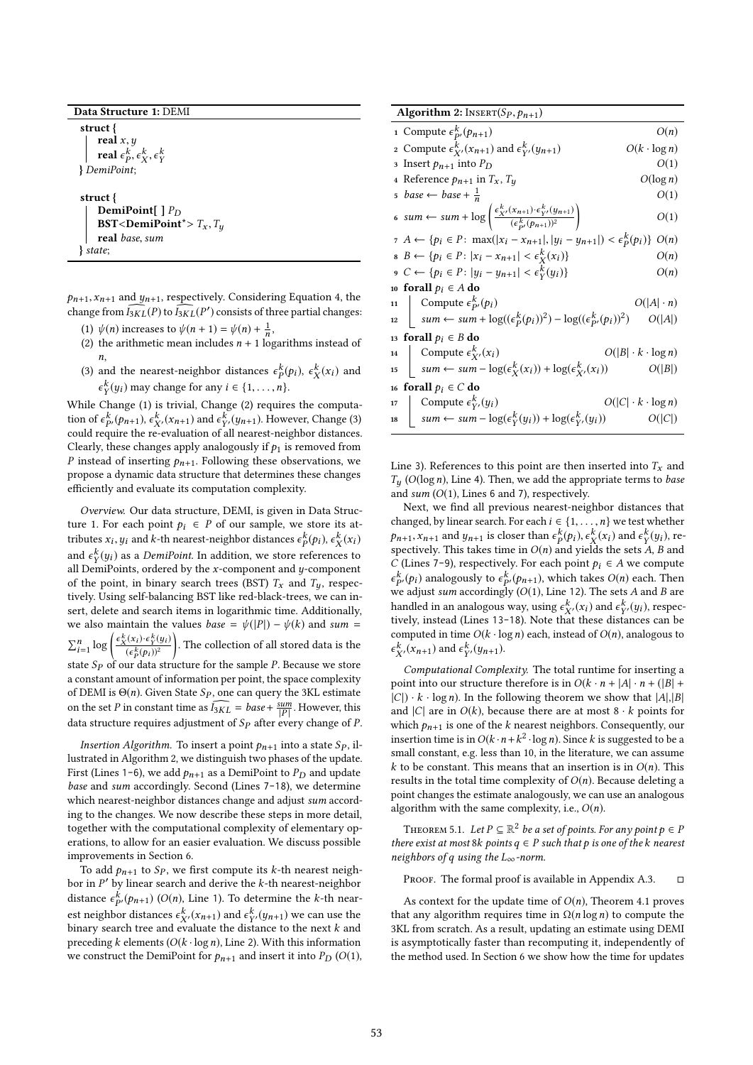#### Data Structure 1: DEMI

struct { real  $x, y$ real  $\epsilon_p^{\kappa}, \epsilon_X^{\kappa}, \epsilon_Y^{\kappa}$ } DemiPoint; struct {

DemiPoint[  $\, \mid P_D \,$ BST<DemiPoint\*> $T_x$ ,  $T_y$ real base, sum

} state;

 $p_{n+1}, x_{n+1}$  and  $y_{n+1}$ , respectively. Considering Equation 4, the change from  $\widehat{I_{3KL}}(P)$  to  $\widehat{I_{3KL}}(P')$  consists of three partial changes:

- (1)  $\psi(n)$  increases to  $\psi(n+1) = \psi(n) + \frac{1}{n}$ ,<br>(2) the arithmetic mean includes  $n + 1$  loc
- (2) the arithmetic mean includes  $n + 1$  logarithms instead of n,
- (3) and the nearest-neighbor distances  $\epsilon_{N}^{k}(p_{i})$ ,  $\epsilon_{X}^{k}(x_{i})$  and  $\epsilon_{N}^{k}(p_{i})$  must change for any  $i \in \{1, \ldots, n\}$  $\frac{k}{Y}(y_i)$  may change for any  $i \in \{1, \ldots, n\}$ .

 $\frac{y}{y}$  While Change (1) is trivial, Change (2) requires the computation of  $\epsilon_{P'}^k(p_{n+1}), \epsilon_{X'}^k(x_{n+1})$  and  $\epsilon_{Y'}^k(y_{n+1})$ . However, Change (3)<br>could require the re-evaluation of all nearest-neighbor distances could require the re-evaluation of all nearest-neighbor distances. Clearly, these changes apply analogously if  $p_1$  is removed from P instead of inserting  $p_{n+1}$ . Following these observations, we propose a dynamic data structure that determines these changes efficiently and evaluate its computation complexity.

Overview. Our data structure, DEMI, is given in Data Structure 1. For each point  $p_i \in P$  of our sample, we store its attributes  $x_i, y_i$  and k-th nearest-neighbor distances  $\epsilon_P^k(p_i), \epsilon_X^k(x_i)$ and  $\epsilon_Y^k(y_i)$  as a *DemiPoint*. In addition, we store references to all DemiPoints ordered by the *x*-component and *u*-component all DemiPoints, ordered by the x-component and y-component<br>of the point in binary search trees (BST)  $T$  and  $T$  respectively of the point, in binary search trees (BST)  $T_x$  and  $T_y$ , respectively. Using self-balancing BST like red-black-trees, we can insert, delete and search items in logarithmic time. Additionally, we also maintain the values *base* =  $\psi(|P|) - \psi(k)$  and *sum* =  $\sum_{i=1}^n$  $\log \left( \frac{\epsilon_X^k(x_i) \cdot \epsilon_Y^k(y_i)}{(\epsilon_X^k(x_i))^2} \right)$  $\frac{(\epsilon_P^k(p_i))^2}{(p_i+p_i)^2}$ state  $S_p$  of our data structure for the sample P. Because we store . The collection of all stored data is the a constant amount of information per point, the space complexity of DEMI is  $\Theta(n)$ . Given State  $Sp$ , one can query the 3KL estimate on the set P in constant time as  $\widehat{I_{3KL}} = base + \frac{sum}{[P]}$  $\frac{sum}{|P|}$ . However, this data structure requires adjustment of  $S_p$  after every change of P.

Insertion Algorithm. To insert a point  $p_{n+1}$  into a state  $Sp$ , illustrated in Algorithm 2, we distinguish two phases of the update. First (Lines 1-6), we add  $p_{n+1}$  as a DemiPoint to  $P_D$  and update base and sum accordingly. Second (Lines 7-18), we determine which nearest-neighbor distances change and adjust sum according to the changes. We now describe these steps in more detail, together with the computational complexity of elementary operations, to allow for an easier evaluation. We discuss possible improvements in Section 6.

To add  $p_{n+1}$  to  $Sp$ , we first compute its k-th nearest neighbor in P' by linear search and derive the k-th nearest-neighbor<br>distance  $c^k$  (e, c) (O(n) Line 1). To determine the k-th neardistance  $\epsilon_{p}^{k}(p_{n+1})$  (O(n), Line 1). To determine the k-th nearest neighbor distances  $\epsilon_{X'}^k(x_{n+1})$  and  $\epsilon_{Y'}^k(y_{n+1})$  we can use the<br>binary search tree and evaluate the distance to the next k and binary search tree and evaluate the distance to the next  $k$  and preceding k elements  $(O(k \cdot \log n))$ , Line 2). With this information we construct the DemiPoint for  $p_{n+1}$  and insert it into  $P_D$  (O(1),

| <b>Algorithm 2:</b> INSERT $(S_P, p_{n+1})$                                                                                                                                                                                    |                               |  |
|--------------------------------------------------------------------------------------------------------------------------------------------------------------------------------------------------------------------------------|-------------------------------|--|
| 1 Compute $\epsilon_{p}^k(p_{n+1})$                                                                                                                                                                                            | O(n)                          |  |
| 2 Compute $\epsilon_{\mathbf{Y}}^k$ , $(x_{n+1})$ and $\epsilon_{\mathbf{Y}}^k$ , $(y_{n+1})$                                                                                                                                  | $O(k \cdot \log n)$           |  |
| 3 Insert $p_{n+1}$ into $P_D$                                                                                                                                                                                                  | O(1)                          |  |
| 4 Reference $p_{n+1}$ in $T_x$ , $T_y$                                                                                                                                                                                         | $O(\log n)$                   |  |
| $5 \ \ \textit{base} \leftarrow \ \textit{base} + \frac{1}{n}$                                                                                                                                                                 | O(1)                          |  |
| $\label{eq:4} \begin{aligned} \mathfrak{s} \ \textit{sum} \gets \textit{sum} + \log \left( \frac{\epsilon_{X'}^k(x_{n+1}) \cdot \epsilon_{Y'}^{\kappa}(y_{n+1})}{(\epsilon_{\textit{in}}^k(p_{n+1}))^2} \right) \end{aligned}$ | O(1)                          |  |
| $\tau A \leftarrow \{p_i \in P: \max( x_i - x_{n+1} ,  y_i - y_{n+1} ) < \epsilon_p^k(p_i)\}$ O(n)                                                                                                                             |                               |  |
| $B \leftarrow \{p_i \in P :  x_i - x_{n+1}  < \epsilon_X^k(x_i)\}\$                                                                                                                                                            | O(n)                          |  |
| $\varphi \colon C \leftarrow \{ p_i \in P :  y_i - y_{n+1}  < \epsilon^k_{\mathcal{V}}(y_i) \}$                                                                                                                                | O(n)                          |  |
| 10 forall $p_i \in A$ do                                                                                                                                                                                                       |                               |  |
| Compute $\epsilon_{P'}^k(p_i)$<br>11                                                                                                                                                                                           | $O( A  \cdot n)$              |  |
| $\vert \quad \mathit{sum} \leftarrow \mathit{sum} + \log((\epsilon_p^k(p_i))^2) - \log((\epsilon_{p'}^k(p_i))^2)$<br>12                                                                                                        | O( A )                        |  |
| 13 forall $p_i \in B$ do                                                                                                                                                                                                       |                               |  |
| Compute $\epsilon_{X'}^k(x_i)$<br>14                                                                                                                                                                                           | $O( B \cdot k\cdot \log n)$   |  |
| $\Big  \quad \textit{sum} \leftarrow \textit{sum} - \log(\epsilon^k_X(x_i)) + \log(\epsilon^k_{X'}(x_i))$<br>15                                                                                                                | O( B )                        |  |
| 16 forall $p_i \in C$ do                                                                                                                                                                                                       |                               |  |
| Compute $\epsilon_{\rm Y}^k(y_i)$<br>17                                                                                                                                                                                        | $O( C  \cdot k \cdot \log n)$ |  |
| $\Big $ sum $\leftarrow$ sum $-\log(\epsilon^k_Y(y_i)) + \log(\epsilon^k_Y(y_i))$<br>18                                                                                                                                        | O( C )                        |  |

Line 3). References to this point are then inserted into  $T_r$  and  $T_u$  (O(log n), Line 4). Then, we add the appropriate terms to base and sum  $(O(1))$ , Lines 6 and 7), respectively.

Next, we find all previous nearest-neighbor distances that changed, by linear search. For each  $i \in \{1, \ldots, n\}$  we test whether  $p_{n+1}, x_{n+1}$  and  $y_{n+1}$  is closer than  $\epsilon_p^k(p_i), \epsilon_x^k(x_i)$  and  $\epsilon_y^k(y_i)$ , respectively. This takes time in  $O(n)$  and yields the sets A, B and C (I ines 7-9) respectively. For each point  $b_i \in A$  we compute C (Lines 7-9), respectively. For each point  $p_i \in A$  we compute  $\sum_{i=1}^{p_i}$   $\sum_{i=1}^{p_i}$  and  $\sum_{i=1}^{p_i}$  accordingly (O(1), Line 12). The sets A and B are<br>handled in an analogous way using  $c^k$  (m) and  $c^k$  (m) are not  $k_p(p_i)$  analogously to  $\epsilon_{p_i}^k(p_{n+1})$ , which takes  $O(n)$  each. Then  $p_i$  and  $p_i$  and  $p_i$  and  $p_i$  and  $p_i$  and  $p_i$  and  $p_i$  and  $p_i$  and  $p_i$  and  $p_i$  and  $p_i$  and  $p_i$  and  $p_i$  and  $p_i$  and  $p_i$  and  $p_i$  and  $p_i$  an handled in an analogous way, using  $\epsilon_{X'}^k(x_i)$  and  $\epsilon_{Y'}^k(y_i)$ , respectively, instead (Lines 13-18). Note that these distances can be tively, instead (Lines 13-18). Note that these distances can be computed in time  $O(k \cdot \log n)$  each, instead of  $O(n)$ , analogous to  $\epsilon_{X'}^k(x_{n+1})$  and  $\epsilon_{Y'}^k(y_{n+1})$ .

Computational Complexity. The total runtime for inserting a point into our structure therefore is in  $O(k \cdot n + |A| \cdot n + (|B| +$  $|C|$ )  $\cdot$   $k$   $\cdot$  log *n*). In the following theorem we show that  $|A|,|B|$ and |C| are in  $O(k)$ , because there are at most  $8 \cdot k$  points for which  $p_{n+1}$  is one of the k nearest neighbors. Consequently, our insertion time is in  $O(k \cdot n + k^2 \cdot \log n)$ . Since k is suggested to be a<br>small constant e.g. less than 10, in the literature, we can assume small constant, e.g. less than 10, in the literature, we can assume k to be constant. This means that an insertion is in  $O(n)$ . This results in the total time complexity of  $O(n)$ . Because deleting a point changes the estimate analogously, we can use an analogous algorithm with the same complexity, i.e.,  $O(n)$ .

THEOREM 5.1. Let  $P \subseteq \mathbb{R}^2$  be a set of points. For any point  $p \in P$ <br>are exist at most  $\Re k$  points  $q \in P$  such that p is one of the k neares there exist at most 8k points  $q \in P$  such that p is one of the k nearest neighbors of q using the  $L_{\infty}$ -norm.

PROOF. The formal proof is available in Appendix A.3.  $\Box$ 

As context for the update time of  $O(n)$ , Theorem 4.1 proves that any algorithm requires time in  $\Omega(n \log n)$  to compute the 3KL from scratch. As a result, updating an estimate using DEMI is asymptotically faster than recomputing it, independently of the method used. In Section 6 we show how the time for updates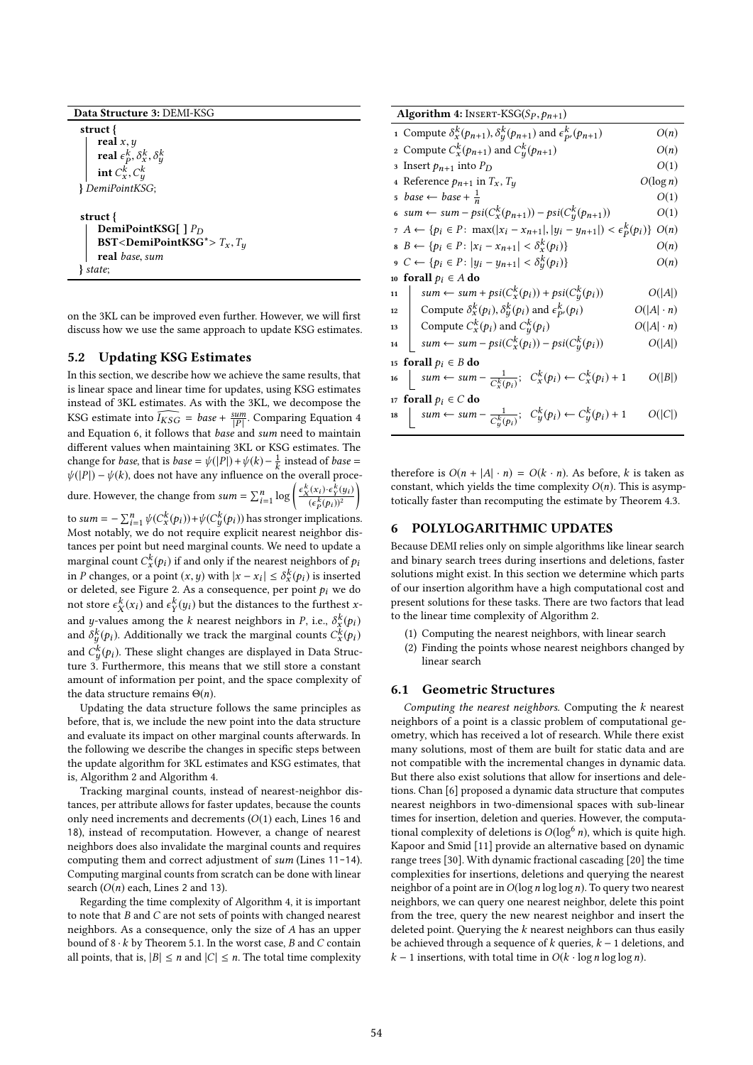struct {

real  $x, y$ real  $\epsilon_p^k$ ,  $\delta_x^k$ ,  $\delta_y^k$ 

 $\text{int } C_x^k, C_y^k$ <br> $\text{int } C_x^k$ x ,C y } DemiPointKSG;

```
struct {
   DemiPointKSG[ ] P<sub>D</sub>
   BST<DemiPointKSG*>T_x, T_yreal base, sum
} state;
```
on the 3KL can be improved even further. However, we will first discuss how we use the same approach to update KSG estimates.

## 5.2 Updating KSG Estimates

In this section, we describe how we achieve the same results, that is linear space and linear time for updates, using KSG estimates instead of 3KL estimates. As with the 3KL, we decompose the KSG estimate into  $\widehat{I_{KSG}} = base + \frac{sum}{|P|}$  $\frac{sum}{|P|}$ . Comparing Equation 4 and Equation 6, it follows that base and sum need to maintain different values when maintaining 3KL or KSG estimates. The change for *base*, that is *base* =  $\psi(|P|) + \psi(k) - \frac{1}{k}$  instead of *base* =  $\psi(|P|) - \psi(k)$  does not have any influence on the overall proces  $\psi(|P|) - \psi(k)$ , does not have any influence on the overall procedure. However, the change from  $sum = \sum_{i=1}^{n}$  $\log \left( \frac{\epsilon_X^k(x_i) \cdot \epsilon_Y^k(y_i)}{(\epsilon_X^k(x_i))^2} \right)$  $\frac{\left(\epsilon_p^k(p_i)\right)^2}{\epsilon_p^k}$ to sum =  $-\sum_{i=1}^{n}\psi(C^k_{\mathbf{x}}(p_i))+\psi(C^k_{\mathbf{y}}(p_i))$  has stronger implications.<br>Most notably, we do not require explicit nearest neighbor dis-Ι tances per point but need marginal counts. We need to update a marginal count  $C_x^k(p_i)$  if and only if the nearest neighbors of  $p_i$ <br>in  $R$  changes, an a point  $(p_i, q_i)$  with  $|x_i - x_j| \leq \frac{8k(p_i)}{2}$  is inserted in P changes, or a point  $(x, y)$  with  $|x - x_i| \le \delta_x^k(p_i)$  is inserted<br>or deleted see Figure 2, as a consequence per point  $p_i$ , we do or deleted, see Figure 2. As a consequence, per point  $p_i$  we do<br>not stare  $c^k(x_i)$  and  $c^k(u_i)$  but the distances to the further x not store  $\epsilon_X^k(x_i)$  and  $\epsilon_Y^k(y_i)$  but the distances to the furthest xand y-values among the k nearest neighbors in P, i.e.,  $\delta_x^k(p_i)$ <br>and  $\delta_{k}^k(p_i)$ . Additionally we track the marginal counts  $C_k^k(p_i)$ . and  $\delta_g^k(p_i)$ . Additionally we track the marginal counts  $C_x^k(p_i)$ and  $C_g^k(p_i)$ . These slight changes are displayed in Data Structure 3. Furthermore, this means that we still store a constant amount of information per point, and the space complexity of the data structure remains  $\Theta(n)$ .

Updating the data structure follows the same principles as before, that is, we include the new point into the data structure and evaluate its impact on other marginal counts afterwards. In the following we describe the changes in specific steps between the update algorithm for 3KL estimates and KSG estimates, that is, Algorithm 2 and Algorithm 4.

Tracking marginal counts, instead of nearest-neighbor distances, per attribute allows for faster updates, because the counts only need increments and decrements  $(O(1)$  each, Lines 16 and 18), instead of recomputation. However, a change of nearest neighbors does also invalidate the marginal counts and requires computing them and correct adjustment of sum (Lines 11-14). Computing marginal counts from scratch can be done with linear search  $(O(n)$  each, Lines 2 and 13).

Regarding the time complexity of Algorithm 4, it is important to note that  $B$  and  $C$  are not sets of points with changed nearest neighbors. As a consequence, only the size of A has an upper bound of  $8 \cdot k$  by Theorem 5.1. In the worst case, B and C contain all points, that is,  $|B| \le n$  and  $|C| \le n$ . The total time complexity

| Algorithm 4: INSERT-KSG $(S_P, p_{n+1})$                                                       |                  |  |
|------------------------------------------------------------------------------------------------|------------------|--|
| 1 Compute $\delta_x^k(p_{n+1}), \delta_y^k(p_{n+1})$ and $\epsilon_{p}^k(p_{n+1})$             | O(n)             |  |
| 2 Compute $C_x^k(p_{n+1})$ and $C_y^k(p_{n+1})$                                                | O(n)             |  |
| O(1)<br>3 Insert $p_{n+1}$ into $P_D$                                                          |                  |  |
| $O(\log n)$<br>4 Reference $p_{n+1}$ in $T_x$ , $T_y$                                          |                  |  |
| $5 \ \ \textit{base} \leftarrow \ \textit{base} + \frac{1}{n}$<br>O(1)                         |                  |  |
| 6 sum ← sum – psi $(C_x^k(p_{n+1}))$ – psi $(C_y^k(p_{n+1}))$                                  | O(1)             |  |
| $\tau A \leftarrow \{p_i \in P: \max( x_i - x_{n+1} ,  y_i - y_{n+1} ) < \epsilon_p^k(p_i)\}\$ | O(n)             |  |
| $B \leftarrow \{p_i \in P :  x_i - x_{n+1}  < \delta_x^k(p_i)\}\$                              | O(n)             |  |
| 9 C ← { $p_i \in P:  y_i - y_{n+1}  < \delta_u^k(p_i)$ }                                       | O(n)             |  |
| 10 forall $p_i \in A$ do                                                                       |                  |  |
| $sum \leftarrow sum + psi(C_x^k(p_i)) + psi(C_y^k(p_i))$<br>11                                 | O( A )           |  |
| Compute $\delta_x^k(p_i), \delta_y^k(p_i)$ and $\epsilon_{p}^k(p_i)$<br>12                     | $O( A  \cdot n)$ |  |
| Compute $C_x^k(p_i)$ and $C_u^k(p_i)$<br>13                                                    | $O( A  \cdot n)$ |  |
| $sum \leftarrow sum - psi(C_x^k(p_i)) - psi(C_u^k(p_i))$<br>14                                 | O( A )           |  |
| forall $p_i \in B$ do<br>15                                                                    |                  |  |
| $sum \leftarrow sum - \frac{1}{C_x^k(p_i)}$ ; $C_x^k(p_i) \leftarrow C_x^k(p_i) + 1$<br>16     | O( B )           |  |
| 17 forall $p_i \in C$ do                                                                       |                  |  |
| sum $\leftarrow$ sum $-\frac{1}{C_u^k(p_i)}$ ; $C_y^k(p_i) \leftarrow C_y^k(p_i) + 1$<br>18    | O( C )           |  |

therefore is  $O(n + |A| \cdot n) = O(k \cdot n)$ . As before, k is taken as constant, which yields the time complexity  $O(n)$ . This is asymptotically faster than recomputing the estimate by Theorem 4.3.

### 6 POLYLOGARITHMIC UPDATES

Because DEMI relies only on simple algorithms like linear search and binary search trees during insertions and deletions, faster solutions might exist. In this section we determine which parts of our insertion algorithm have a high computational cost and present solutions for these tasks. There are two factors that lead to the linear time complexity of Algorithm 2.

- (1) Computing the nearest neighbors, with linear search
- (2) Finding the points whose nearest neighbors changed by linear search

## 6.1 Geometric Structures

Computing the nearest neighbors. Computing the k nearest neighbors of a point is a classic problem of computational geometry, which has received a lot of research. While there exist many solutions, most of them are built for static data and are not compatible with the incremental changes in dynamic data. But there also exist solutions that allow for insertions and deletions. Chan [6] proposed a dynamic data structure that computes nearest neighbors in two-dimensional spaces with sub-linear times for insertion, deletion and queries. However, the computational complexity of deletions is  $O(\log^6 n)$ , which is quite high. Kapoor and Smid [11] provide an alternative based on dynamic range trees [30]. With dynamic fractional cascading [20] the time complexities for insertions, deletions and querying the nearest neighbor of a point are in  $O(\log n \log \log n)$ . To query two nearest neighbors, we can query one nearest neighbor, delete this point from the tree, query the new nearest neighbor and insert the deleted point. Querying the  $k$  nearest neighbors can thus easily be achieved through a sequence of  $k$  queries,  $k - 1$  deletions, and  $k-1$  insertions, with total time in  $O(k \cdot \log n \log \log n)$ .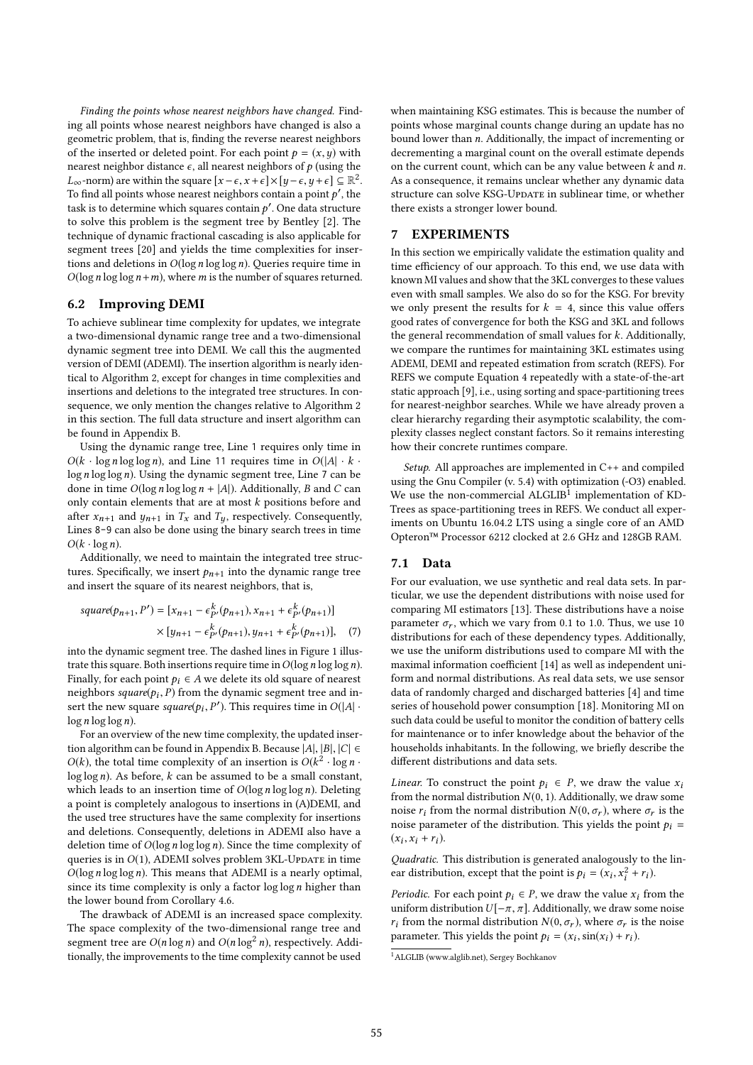Finding the points whose nearest neighbors have changed. Finding all points whose nearest neighbors have changed is also a geometric problem, that is, finding the reverse nearest neighbors of the inserted or deleted point. For each point  $p = (x, y)$  with nearest neighbor distance  $\epsilon$ , all nearest neighbors of p (using the  $L_{\infty}$ -norm) are within the square  $[x - \epsilon, x + \epsilon] \times [y - \epsilon, y + \epsilon] \subseteq \mathbb{R}^2$ .<br>To find all points whose nearest neighbors contain a point of the To find all points whose nearest neighbors contain a point  $p'$ , the task is to determine which squares contain  $p'$ . One data structure task is to determine which squares contain  $p'$ . One data structure<br>to solve this problem is the segment tree by Bentley [2]. The to solve this problem is the segment tree by Bentley [2]. The technique of dynamic fractional cascading is also applicable for segment trees [20] and yields the time complexities for insertions and deletions in  $O(\log n \log \log n)$ . Queries require time in  $O(\log n \log \log n + m)$ , where *m* is the number of squares returned.

### 6.2 Improving DEMI

To achieve sublinear time complexity for updates, we integrate a two-dimensional dynamic range tree and a two-dimensional dynamic segment tree into DEMI. We call this the augmented version of DEMI (ADEMI). The insertion algorithm is nearly identical to Algorithm 2, except for changes in time complexities and insertions and deletions to the integrated tree structures. In consequence, we only mention the changes relative to Algorithm 2 in this section. The full data structure and insert algorithm can be found in Appendix B.

Using the dynamic range tree, Line 1 requires only time in  $O(k \cdot \log n \log \log n)$ , and Line 11 requires time in  $O(|A| \cdot k \cdot$  $\log n \log \log n$ ). Using the dynamic segment tree, Line 7 can be done in time  $O(\log n \log \log n + |A|)$ . Additionally, B and C can only contain elements that are at most  $k$  positions before and after  $x_{n+1}$  and  $y_{n+1}$  in  $T_x$  and  $T_y$ , respectively. Consequently, Lines 8-9 can also be done using the binary search trees in time  $O(k \cdot \log n)$ .

Additionally, we need to maintain the integrated tree structures. Specifically, we insert  $p_{n+1}$  into the dynamic range tree and insert the square of its nearest neighbors, that is,

$$
square(p_{n+1}, P') = [x_{n+1} - \epsilon_{P'}^k(p_{n+1}), x_{n+1} + \epsilon_{P'}^k(p_{n+1})]
$$
  
 
$$
\times [y_{n+1} - \epsilon_{P'}^k(p_{n+1}), y_{n+1} + \epsilon_{P'}^k(p_{n+1})], \quad (7)
$$

P P into the dynamic segment tree. The dashed lines in Figure 1 illustrate this square. Both insertions require time in  $O(\log n \log \log n)$ . Finally, for each point  $p_i \in A$  we delete its old square of nearest neighbors square( $p_i$ ,  $\hat{P}$ ) from the dynamic segment tree and in-<br>sert the new square square( $p_i$ ,  $P'$ ). This requires time in  $O(|A|)$ . sert the new square square( $p_i$ , P<br>log n log log n) '). This requires time in  $O(|A| \cdot$  $\log n \log \log n$ ).

For an overview of the new time complexity, the updated insertion algorithm can be found in Appendix B. Because  $|A|, |B|, |C| \in$  $O(k)$ , the total time complexity of an insertion is  $O(k^2 \cdot \log n \cdot \log n)$  $\log \log n$ ). As before, k can be assumed to be a small constant, which leads to an insertion time of  $O(\log n \log \log n)$ . Deleting a point is completely analogous to insertions in (A)DEMI, and the used tree structures have the same complexity for insertions and deletions. Consequently, deletions in ADEMI also have a deletion time of  $O(\log n \log \log n)$ . Since the time complexity of queries is in  $O(1)$ , ADEMI solves problem 3KL-Update in time  $O(\log n \log \log n)$ . This means that ADEMI is a nearly optimal, since its time complexity is only a factor  $\log \log n$  higher than the lower bound from Corollary 4.6.

The drawback of ADEMI is an increased space complexity. The space complexity of the two-dimensional range tree and segment tree are  $O(n \log n)$  and  $O(n \log^2 n)$ , respectively. Additionally, the improvements to the time complexity cannot be used

when maintaining KSG estimates. This is because the number of points whose marginal counts change during an update has no bound lower than n. Additionally, the impact of incrementing or decrementing a marginal count on the overall estimate depends on the current count, which can be any value between  $k$  and  $n$ . As a consequence, it remains unclear whether any dynamic data structure can solve KSG-UpDATE in sublinear time, or whether there exists a stronger lower bound.

#### 7 EXPERIMENTS

In this section we empirically validate the estimation quality and time efficiency of our approach. To this end, we use data with known MI values and show that the 3KL converges to these values even with small samples. We also do so for the KSG. For brevity we only present the results for  $k = 4$ , since this value offers good rates of convergence for both the KSG and 3KL and follows the general recommendation of small values for  $k$ . Additionally, we compare the runtimes for maintaining 3KL estimates using ADEMI, DEMI and repeated estimation from scratch (REFS). For REFS we compute Equation 4 repeatedly with a state-of-the-art static approach [9], i.e., using sorting and space-partitioning trees for nearest-neighbor searches. While we have already proven a clear hierarchy regarding their asymptotic scalability, the complexity classes neglect constant factors. So it remains interesting how their concrete runtimes compare.

Setup. All approaches are implemented in C++ and compiled using the Gnu Compiler (v. 5.4) with optimization (-O3) enabled. We use the non-commercial  $\overrightarrow{A}$ LGLIB<sup>1</sup> implementation of KD-Trees as space-partitioning trees in REFS. We conduct all experiments on Ubuntu 16.04.2 LTS using a single core of an AMD Opteron™ Processor 6212 clocked at 2.6 GHz and 128GB RAM.

## 7.1 Data

For our evaluation, we use synthetic and real data sets. In particular, we use the dependent distributions with noise used for comparing MI estimators [13]. These distributions have a noise parameter  $\sigma_r$ , which we vary from 0.1 to 1.0. Thus, we use 10 distributions for each of these dependency types. Additionally, we use the uniform distributions used to compare MI with the maximal information coefficient [14] as well as independent uniform and normal distributions. As real data sets, we use sensor data of randomly charged and discharged batteries [4] and time series of household power consumption [18]. Monitoring MI on such data could be useful to monitor the condition of battery cells for maintenance or to infer knowledge about the behavior of the households inhabitants. In the following, we briefly describe the different distributions and data sets.

*Linear.* To construct the point  $p_i \in P$ , we draw the value  $x_i$ from the normal distribution  $N(0, 1)$ . Additionally, we draw some noise  $r_i$  from the normal distribution  $N(0, \sigma_r)$ , where  $\sigma_r$  is the noise parameter of the distribution. This yields the point  $p_i$  =  $(x_i, x_i + r_i).$ 

Quadratic. This distribution is generated analogously to the linear distribution, except that the point is  $p_i = (x_i, x_i)$  $\frac{2}{i} + r_i$ ).

*Periodic*. For each point  $p_i \in P$ , we draw the value  $x_i$  from the uniform distribution  $U[-\pi, \pi]$ . Additionally, we draw some noise uniform distribution  $U[-\pi, \pi]$ . Additionally, we draw some noise  $r_i$  from the normal distribution  $N(0, \sigma_r)$ , where  $\sigma_r$  is the noise parameter. This yields the point  $p_i = (x_i, \sin(x_i) + r_i)$ .

<sup>1</sup>ALGLIB (www.alglib.net), Sergey Bochkanov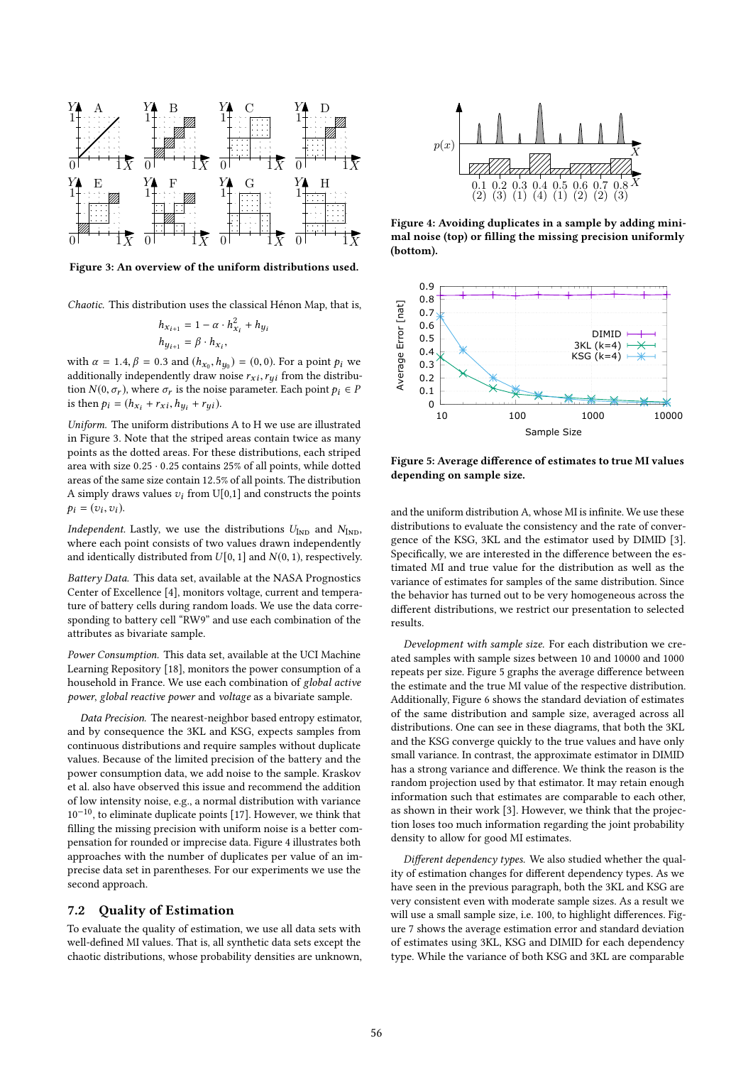

Figure 3: An overview of the uniform distributions used.

Chaotic. This distribution uses the classical Hénon Map, that is,

$$
h_{x_{i+1}} = 1 - \alpha \cdot h_{x_i}^2 + h_{y_i}
$$
  

$$
h_{y_{i+1}} = \beta \cdot h_{x_i},
$$

with  $\alpha = 1.4$ ,  $\beta = 0.3$  and  $(h_{x_0}, h_{y_0}) = (0, 0)$ . For a point  $p_i$  we<br>additionally independently draw noise  $\mathbf{r} \cdot \mathbf{r}$  from the distribuadditionally independently draw noise  $r_{xi}$ ,  $r_{yi}$  from the distribution  $N(0, \sigma_r)$ , where  $\sigma_r$  is the noise parameter. Each point  $p_i \in P$ is then  $p_i = (h_{x_i} + r_{xi}, h_{y_i} + r_{yi}).$ 

Uniform. The uniform distributions A to H we use are illustrated in Figure 3. Note that the striped areas contain twice as many points as the dotted areas. For these distributions, each striped area with size <sup>0</sup>.<sup>25</sup> · <sup>0</sup>.<sup>25</sup> contains 25% of all points, while dotted areas of the same size contain <sup>12</sup>.5% of all points. The distribution A simply draws values  $v_i$  from U[0,1] and constructs the points  $p_i = (v_i, v_i).$ 

Independent. Lastly, we use the distributions  $U_{\text{IND}}$  and  $N_{\text{IND}}$ , where each point consists of two values drawn independently and identically distributed from  $U[0, 1]$  and  $N(0, 1)$ , respectively.

Battery Data. This data set, available at the NASA Prognostics Center of Excellence [4], monitors voltage, current and temperature of battery cells during random loads. We use the data corresponding to battery cell "RW9" and use each combination of the attributes as bivariate sample.

Power Consumption. This data set, available at the UCI Machine Learning Repository [18], monitors the power consumption of a household in France. We use each combination of global active power, global reactive power and voltage as a bivariate sample.

Data Precision. The nearest-neighbor based entropy estimator, and by consequence the 3KL and KSG, expects samples from continuous distributions and require samples without duplicate values. Because of the limited precision of the battery and the power consumption data, we add noise to the sample. Kraskov et al. also have observed this issue and recommend the addition of low intensity noise, e.g., a normal distribution with variance  $10^{-10}$ , to eliminate duplicate points [17]. However, we think that filling the missing precision with uniform noise is a better compensation for rounded or imprecise data. Figure 4 illustrates both approaches with the number of duplicates per value of an imprecise data set in parentheses. For our experiments we use the second approach.

#### 7.2 Quality of Estimation

To evaluate the quality of estimation, we use all data sets with well-defined MI values. That is, all synthetic data sets except the chaotic distributions, whose probability densities are unknown,



Figure 4: Avoiding duplicates in a sample by adding minimal noise (top) or filling the missing precision uniformly (bottom).



Figure 5: Average difference of estimates to true MI values depending on sample size.

and the uniform distribution A, whose MI is infinite. We use these distributions to evaluate the consistency and the rate of convergence of the KSG, 3KL and the estimator used by DIMID [3]. Specifically, we are interested in the difference between the estimated MI and true value for the distribution as well as the variance of estimates for samples of the same distribution. Since the behavior has turned out to be very homogeneous across the different distributions, we restrict our presentation to selected results.

Development with sample size. For each distribution we created samples with sample sizes between 10 and 10000 and 1000 repeats per size. Figure 5 graphs the average difference between the estimate and the true MI value of the respective distribution. Additionally, Figure 6 shows the standard deviation of estimates of the same distribution and sample size, averaged across all distributions. One can see in these diagrams, that both the 3KL and the KSG converge quickly to the true values and have only small variance. In contrast, the approximate estimator in DIMID has a strong variance and difference. We think the reason is the random projection used by that estimator. It may retain enough information such that estimates are comparable to each other, as shown in their work [3]. However, we think that the projection loses too much information regarding the joint probability density to allow for good MI estimates.

Different dependency types. We also studied whether the quality of estimation changes for different dependency types. As we have seen in the previous paragraph, both the 3KL and KSG are very consistent even with moderate sample sizes. As a result we will use a small sample size, i.e. 100, to highlight differences. Figure 7 shows the average estimation error and standard deviation of estimates using 3KL, KSG and DIMID for each dependency type. While the variance of both KSG and 3KL are comparable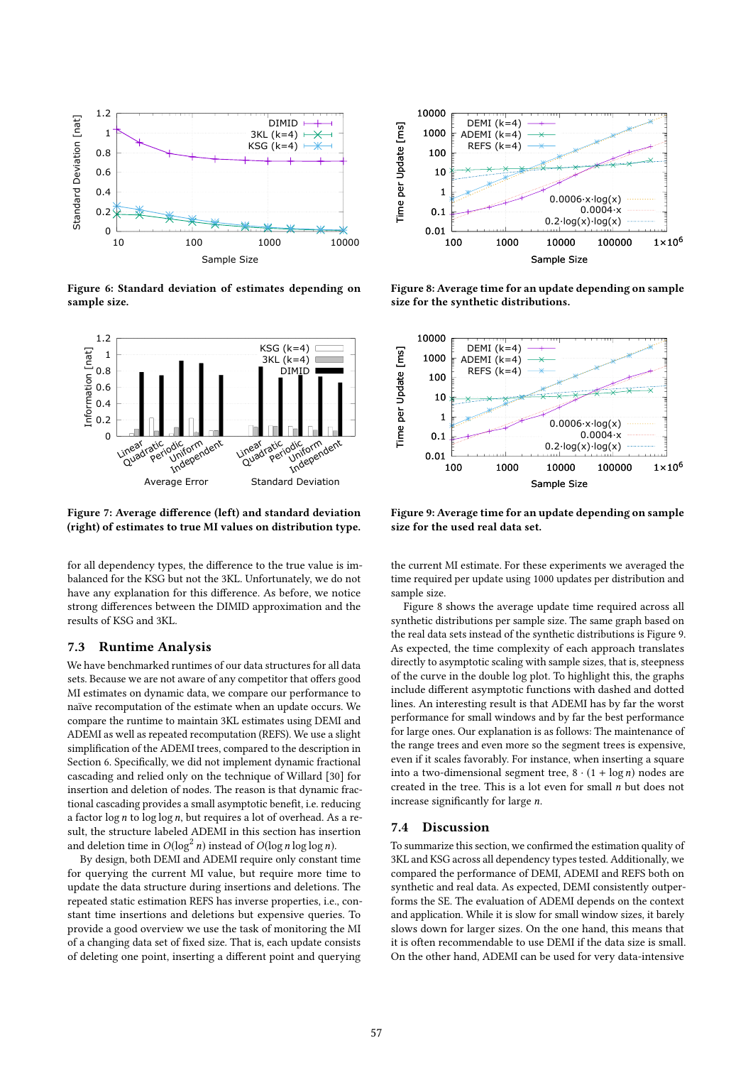

Figure 6: Standard deviation of estimates depending on sample size.



Figure 7: Average difference (left) and standard deviation (right) of estimates to true MI values on distribution type.

for all dependency types, the difference to the true value is imbalanced for the KSG but not the 3KL. Unfortunately, we do not have any explanation for this difference. As before, we notice strong differences between the DIMID approximation and the results of KSG and 3KL.

#### 7.3 Runtime Analysis

We have benchmarked runtimes of our data structures for all data sets. Because we are not aware of any competitor that offers good MI estimates on dynamic data, we compare our performance to naïve recomputation of the estimate when an update occurs. We compare the runtime to maintain 3KL estimates using DEMI and ADEMI as well as repeated recomputation (REFS). We use a slight simplification of the ADEMI trees, compared to the description in Section 6. Specifically, we did not implement dynamic fractional cascading and relied only on the technique of Willard [30] for insertion and deletion of nodes. The reason is that dynamic fractional cascading provides a small asymptotic benefit, i.e. reducing a factor  $\log n$  to  $\log \log n$ , but requires a lot of overhead. As a result, the structure labeled ADEMI in this section has insertion and deletion time in  $O(\log^2 n)$  instead of  $O(\log n \log \log n)$ .

By design, both DEMI and ADEMI require only constant time for querying the current MI value, but require more time to update the data structure during insertions and deletions. The repeated static estimation REFS has inverse properties, i.e., constant time insertions and deletions but expensive queries. To provide a good overview we use the task of monitoring the MI of a changing data set of fixed size. That is, each update consists of deleting one point, inserting a different point and querying



Figure 8: Average time for an update depending on sample size for the synthetic distributions.



Figure 9: Average time for an update depending on sample size for the used real data set.

the current MI estimate. For these experiments we averaged the time required per update using 1000 updates per distribution and sample size.

Figure 8 shows the average update time required across all synthetic distributions per sample size. The same graph based on the real data sets instead of the synthetic distributions is Figure 9. As expected, the time complexity of each approach translates directly to asymptotic scaling with sample sizes, that is, steepness of the curve in the double log plot. To highlight this, the graphs include different asymptotic functions with dashed and dotted lines. An interesting result is that ADEMI has by far the worst performance for small windows and by far the best performance for large ones. Our explanation is as follows: The maintenance of the range trees and even more so the segment trees is expensive, even if it scales favorably. For instance, when inserting a square into a two-dimensional segment tree,  $8 \cdot (1 + \log n)$  nodes are created in the tree. This is a lot even for small  $n$  but does not increase significantly for large n.

#### 7.4 Discussion

To summarize this section, we confirmed the estimation quality of 3KL and KSG across all dependency types tested. Additionally, we compared the performance of DEMI, ADEMI and REFS both on synthetic and real data. As expected, DEMI consistently outperforms the SE. The evaluation of ADEMI depends on the context and application. While it is slow for small window sizes, it barely slows down for larger sizes. On the one hand, this means that it is often recommendable to use DEMI if the data size is small. On the other hand, ADEMI can be used for very data-intensive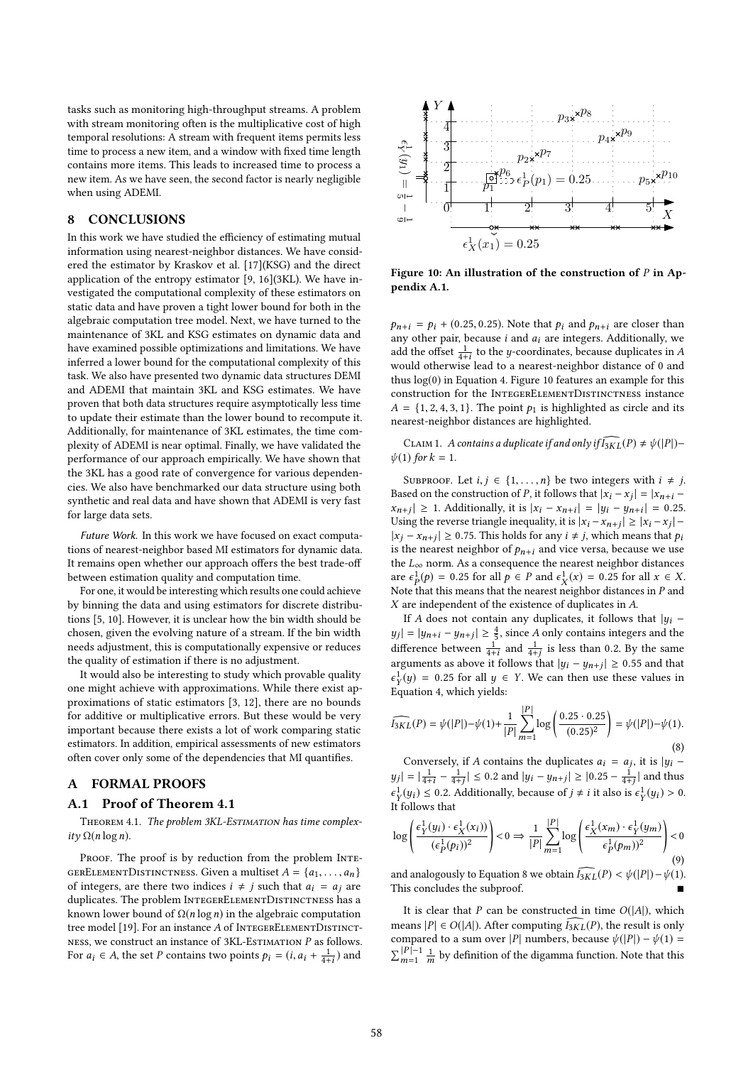tasks such as monitoring high-throughput streams. A problem with stream monitoring often is the multiplicative cost of high temporal resolutions: A stream with frequent items permits less time to process a new item, and a window with fixed time length contains more items. This leads to increased time to process a new item. As we have seen, the second factor is nearly negligible when using ADEMI.

## 8 CONCLUSIONS

In this work we have studied the efficiency of estimating mutual information using nearest-neighbor distances. We have considered the estimator by Kraskov et al. [17](KSG) and the direct application of the entropy estimator [9, 16](3KL). We have investigated the computational complexity of these estimators on static data and have proven a tight lower bound for both in the algebraic computation tree model. Next, we have turned to the maintenance of 3KL and KSG estimates on dynamic data and have examined possible optimizations and limitations. We have inferred a lower bound for the computational complexity of this task. We also have presented two dynamic data structures DEMI and ADEMI that maintain 3KL and KSG estimates. We have proven that both data structures require asymptotically less time to update their estimate than the lower bound to recompute it. Additionally, for maintenance of 3KL estimates, the time complexity of ADEMI is near optimal. Finally, we have validated the performance of our approach empirically. We have shown that the 3KL has a good rate of convergence for various dependencies. We also have benchmarked our data structure using both synthetic and real data and have shown that ADEMI is very fast for large data sets.

Future Work. In this work we have focused on exact computations of nearest-neighbor based MI estimators for dynamic data. It remains open whether our approach offers the best trade-off between estimation quality and computation time.

For one, it would be interesting which results one could achieve by binning the data and using estimators for discrete distributions [5, 10]. However, it is unclear how the bin width should be chosen, given the evolving nature of a stream. If the bin width needs adjustment, this is computationally expensive or reduces the quality of estimation if there is no adjustment.

It would also be interesting to study which provable quality one might achieve with approximations. While there exist approximations of static estimators [3, 12], there are no bounds for additive or multiplicative errors. But these would be very important because there exists a lot of work comparing static estimators. In addition, empirical assessments of new estimators often cover only some of the dependencies that MI quantifies.

#### A FORMAL PROOFS

### A.1 Proof of Theorem 4.1

THEOREM 4.1. The problem 3KL-ESTIMATION has time complexity  $\Omega(n \log n)$ .

PROOF. The proof is by reduction from the problem INTE-GERELEMENTDISTINCTNESS. Given a multiset  $A = \{a_1, \ldots, a_n\}$ of integers, are there two indices  $i \neq j$  such that  $a_i = a_j$  are duplicates. The problem INTEGERELEMENTDISTINCTNESS has a known lower bound of  $\Omega(n \log n)$  in the algebraic computation tree model [19]. For an instance  $A$  of INTEGERELEMENTDISTINCTness, we construct an instance of  $3KL$ -Estimation P as follows. For  $a_i \in A$ , the set P contains two points  $p_i = (i, a_i + \frac{1}{4+i})$  and



Figure 10: An illustration of the construction of  $P$  in Appendix A.1.

 $p_{n+i} = p_i + (0.25, 0.25)$ . Note that  $p_i$  and  $p_{n+i}$  are closer than any other pair, because  $i$  and  $a_i$  are integers. Additionally, we add the offset  $\frac{1}{4+i}$  to the y-coordinates, because duplicates in A would otherwise lead to a nearest-neighbor distance of 0 and add the offset  $\frac{4}{4+i}$  to the *y*-coordinates, because duplicates in *A* would otherwise lead to a nearest-neighbor distance of 0 and thus  $log(0)$  in Equation 4. Figure 10 features an example for this construction for the IntegerElementDistinctness instance  $A = \{1, 2, 4, 3, 1\}$ . The point  $p_1$  is highlighted as circle and its nearest-neighbor distances are highlighted.

CLAIM 1. A contains a duplicate if and only if  $\widehat{I_{3KL}}(P) \neq \psi(|P|)$  –  $\psi(1)$  for  $k = 1$ .

SUBPROOF. Let  $i, j \in \{1, \ldots, n\}$  be two integers with  $i \neq j$ . Based on the construction of P, it follows that  $|x_i - x_j| = |x_{n+i} - x_{n+i}| \ge 1$ . Additionally it is  $|x_i - x_{n+i}| = |y_i - y_{n+i}| = 0.25$ .  $x_{n+j} \ge 1$ . Additionally, it is  $|x_i - x_{n+i}| = |y_i - y_{n+i}| = 0.25$ .<br>Using the reverse triangle inequality it is  $|x_i - x_{i+1}| \ge |x_i - x_{i+1}|$ Using the reverse triangle inequality, it is  $|x_i - x_{n+j}| \ge |x_i - x_j| -$ <br>|xi − x, | > 0.75. This holds for any  $i \neq i$  which means that to  $|x_j - x_{n+j}| \ge 0.75$ . This holds for any  $i \ne j$ , which means that  $p_i$  is the nearest neighbor of  $p_i$  and vice versa, because we use is the nearest neighbor of  $p_{n+i}$  and vice versa, because we use the  $L_{\infty}$  norm. As a consequence the nearest neighbor distances are  $\epsilon_P^1(p) = 0.25$  for all  $p \in P$  and  $\epsilon_X^1(x) = 0.25$  for all  $x \in X$ .<br>Note that this means that the nearest neighbor distances in P and Note that this means that the nearest neighbor distances in  $P$  and  $X$  are independent of the existence of duplicates in  $A$ X are independent of the existence of duplicates in A.

If A does not contain any duplicates, it follows that  $|y_i$ difference between  $\frac{1}{4+i}$  and  $\frac{1}{4+j}$  is less than 0.2. By the same<br>arguments as above it follows that  $|u_i - u_{i+1}| > 0$  55 and that  $| = |y_{n+i} - y_{n+j}| \ge \frac{4}{5}$ , since A only contains integers and the same of the same of the same of the same of the same of the same of the same of the same of the same of the same of the same of the same of the same of the arguments as above it follows that  $|y_i - y_{n+j}| \ge 0.55$  and that  $\epsilon^1(u) = 0.25$  for all  $u \in V$ . We see these yelves in Equation 4, which yields:  $\frac{1}{Y}(y) = 0.25$  for all  $y \in Y$ . We can then use these values in

$$
\widehat{I_{3KL}}(P) = \psi(|P|) - \psi(1) + \frac{1}{|P|} \sum_{m=1}^{|P|} \log \left( \frac{0.25 \cdot 0.25}{(0.25)^2} \right) = \psi(|P|) - \psi(1).
$$
\n(8)

Conversely, if A contains the duplicates  $a_i = a_j$ , it is  $|y_i |y_j| = |\frac{1}{4+i} - \frac{1}{4+j}| \le 0.2$  and  $|y_i - y_{n+j}| \ge |0.25 - \frac{1}{4+j}|$  and thus  $\Gamma_Y(3t) = \Gamma(3t)$  $\frac{1}{Y}(y_i) \le 0.2$ . Additionally, because of  $j \ne i$  it also is  $\epsilon_Y^1(y_i) > 0$ .

$$
\log\left(\frac{\epsilon_Y^1(y_i)\cdot\epsilon_X^1(x_i))}{(\epsilon_P^1(p_i))^2}\right) < 0 \Rightarrow \frac{1}{|P|} \sum_{m=1}^{|P|} \log\left(\frac{\epsilon_X^1(x_m)\cdot\epsilon_Y^1(y_m)}{\epsilon_P^1(p_m))^2}\right) < 0
$$
\n(9)

and analogously to Equation 8 we obtain  $\widehat{I_{3KL}}(P) < \psi(|P|) - \psi(1)$ . This concludes the subproof.

It is clear that P can be constructed in time  $O(|A|)$ , which means  $|P| \in O(|A|)$ . After computing  $\widehat{I_{3KL}}(P)$ , the result is only compared to a sum over |P| numbers, because  $\psi(|P|) - \psi(1) =$  $\sum_{m=1}^{|P|-1} \frac{1}{m}$  by definition of the digamma function. Note that this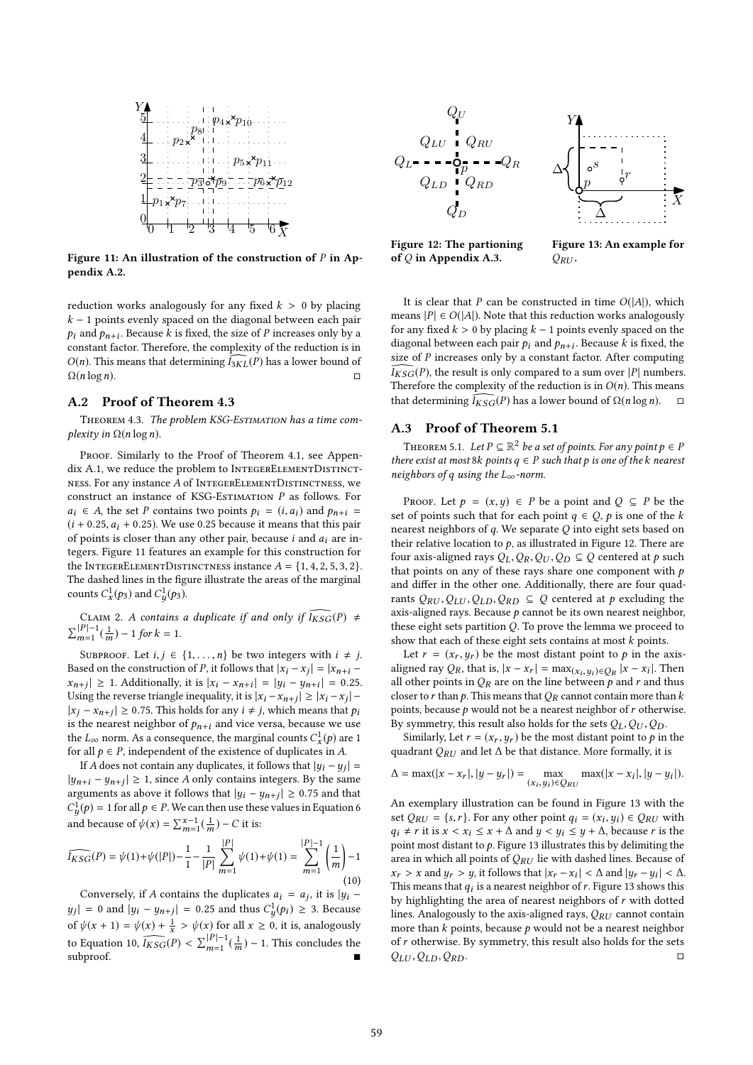

Figure 11: An illustration of the construction of  $P$  in Appendix A.2.

reduction works analogously for any fixed  $k > 0$  by placing  $k - 1$  points evenly spaced on the diagonal between each pair  $p_i$  and  $p_{n+i}$ . Because k is fixed, the size of P increases only by a constant factor. Therefore, the complexity of the reduction is in constant factor. Therefore, the complexity of the reduction is in *O(n)*. This means that determining  $\overline{I}_{3KL}(P)$  has a lower bound of  $\Omega(n \log n)$ .  $\Omega(n \log n).$ 

#### A.2 Proof of Theorem 4.3

y

THEOREM 4.3. The problem KSG-ESTIMATION has a time complexity in  $\Omega(n \log n)$ .

PROOF. Similarly to the Proof of Theorem 4.1, see Appendix A.1, we reduce the problem to INTEGERELEMENTDISTINCTness. For any instance A of IntegerElementDistinctness, we construct an instance of KSG-ESTIMATION  $P$  as follows. For  $a_i \in A$ , the set P contains two points  $p_i = (i, a_i)$  and  $p_{n+i} =$  $(i + 0.25, a_i + 0.25)$ . We use 0.25 because it means that this pair of points is closer than any other pair, because  $i$  and  $a_i$  are integers. Figure 11 features an example for this construction for the INTEGERELEMENTDISTINCTNESS instance  $A = \{1, 4, 2, 5, 3, 2\}.$ The dashed lines in the figure illustrate the areas of the marginal counts  $C_x^1(p_3)$  and  $C_y^1(p_3)$ .

CLAIM 2. A contains a duplicate if and only if 
$$
\widehat{I_{KSG}}(P)
$$
 ≠  $\sum_{m=1}^{|P|-1}(\frac{1}{m}) - 1$  for  $k = 1$ .

SUBPROOF. Let  $i, j \in \{1, ..., n\}$  be two integers with  $i \neq j$ . Based on the construction of P, it follows that  $|x_i - x_j| = |x_{n+i} - x_{n+i}| \ge 1$ . Additionally, it is  $|x_i - x_{n+i}| = |x_{i-1} - x_{i-1}| = 0.25$ .  $x_{n+j}$ | ≥ 1. Additionally, it is  $|x_i - x_{n+i}| = |y_i - y_{n+i}| = 0.25$ <br>Using the reverse triangle inequality, it is  $|x_i - x_{n+j}| \ge |x_i - x_j| - |x_i - x_{n+j}| > 0.75$ . This holds for any  $i \neq i$  which means that negative | ≥ 1. Additionally, it is  $|x_i - x_{n+i}| = |y_i - y_{n+i}| = 0.25$ .  $|x_j - x_{n+j}| \ge 0.75$ . This holds for any  $i \ne j$ , which means that  $p_i$  is the nearest neighbor of  $p_i$ , and vice verso, because we use is the nearest neighbor of  $p_{n+i}$  and vice versa, because we use the  $L_{\infty}$  norm. As a consequence, the marginal counts  $C_x^1(p)$  are 1<br>for all  $p \in P$  independent of the existence of duplicates in A for all  $p \in P$ , independent of the existence of duplicates in A.<br>If A does not contain any duplicates it follows that  $|u| = u$ .

If A does not contain any duplicates, it follows that  $|y_i - y_j| =$ <br> $\therefore$   $|y_i - y_j| > 1$  since A only contains integers. By the same  $|y_{n+i} - y_{n+j}| \ge 1$ , since A only contains integers. By the same arguments as above it follows that  $|y_i - y_{n+j}| \ge 0.75$  and that  $C^1(n) = 1$  for all  $n \in \mathbb{R}$ . We see then use these values in Equation 6 and because of  $\psi(x) = \sum_{m=1}^{x-1} (\frac{1}{m}) - C$  it is:  $\frac{1}{2}(\rho) = 1$  for all  $\rho \in P$ . We can then use these values in Equation 6

$$
\widehat{I_{KSG}}(P) = \psi(1) + \psi(|P|) - \frac{1}{1} - \frac{1}{|P|} \sum_{m=1}^{|P|} \psi(1) + \psi(1) = \sum_{m=1}^{|P|-1} \left(\frac{1}{m}\right) - 1 \tag{10}
$$

Conversely, if A contains the duplicates  $a_i = a_j$ , it is  $|y_i - a_i| \geq 0$  and  $|y_i - a_j| \geq 0$  and  $|y_i - a_j| \geq 0$  and  $|y_i - a_j| \geq 0$ of  $\psi(x + 1) = \psi(x) + \frac{1}{x} > \psi(x)$  for all  $x \ge 0$ , it is, analogously  $| = 0$  and  $|y_i - y_{n+j}| = 0.25$  and thus  $C_y^1(p_i) \ge 3$ . Because to Equation 10,  $\widehat{I_{KSG}}(P) < \sum_{m=1}^{|P|-1}(\frac{1}{m}) - 1$ . This concludes the subproof. ■





Figure 12: The partioning of  $Q$  in Appendix A.3.

Figure 13: An example for  $Q_{RII}$ .

It is clear that P can be constructed in time  $O(|A|)$ , which means  $|P| \in O(|A|)$ . Note that this reduction works analogously for any fixed  $k > 0$  by placing  $k - 1$  points evenly spaced on the diagonal between each pair  $p_i$  and  $p_{n+i}$ . Because k is fixed, the size of P increases only by a constant factor. After computing size of  $P$  increases only by a constant factor. After computing  $\overline{I}_{KSG}(P)$ , the result is only compared to a sum over |P| numbers. Therefore the complexity of the reduction is in  $O(n)$ . This means that determining  $\widehat{I_{KSG}}(P)$  has a lower bound of  $\Omega(n \log n)$ .

#### A.3 Proof of Theorem 5.1

THEOREM 5.1. Let  $P \subseteq \mathbb{R}^2$  be a set of points. For any point  $p \in P$ <br>are exist at most  $\Re k$  points  $q \in P$  such that p is one of the k neares there exist at most 8k points  $q \in P$  such that p is one of the k nearest neighbors of q using the  $L_{\infty}$ -norm.

PROOF. Let  $p = (x, y) \in P$  be a point and  $Q \subseteq P$  be the set of points such that for each point  $q \in Q$ ,  $p$  is one of the  $k$ nearest neighbors of  $q$ . We separate  $Q$  into eight sets based on their relative location to  $p$ , as illustrated in Figure 12. There are four axis-aligned rays  $Q_L, Q_R, Q_U, Q_D \subseteq Q$  centered at p such that points on any of these rays share one component with  $p$ and differ in the other one. Additionally, there are four quadrants  $Q_{RU}, Q_{LU}, Q_{LD}, Q_{RD} \subseteq Q$  centered at p excluding the axis-aligned rays. Because  $p$  cannot be its own nearest neighbor, these eight sets partition  $Q$ . To prove the lemma we proceed to show that each of these eight sets contains at most  $k$  points.

Let  $r = (x_r, y_r)$  be the most distant point to p in the axisaligned ray  $Q_R$ , that is,  $|x - x_r| = \max(x_i, y_i) \in Q_R |x - x_i|$ . Then all other points in  $Q_R$  are on the line between a and r and thus all other points in  $Q_R$  are on the line between  $p$  and  $r$  and thus closer to r than p. This means that  $Q_R$  cannot contain more than k points, because  $p$  would not be a nearest neighbor of  $r$  otherwise. By symmetry, this result also holds for the sets  $Q_L, Q_U, Q_D$ .

Similarly, Let  $r = (x_r, y_r)$  be the most distant point to  $p$  in the quadrant QRU and let  $\Delta$  be that distance. More formally, it is

$$
\Delta = \max(|x - x_r|, |y - y_r|) = \max_{(x_i, y_i) \in Q_{RU}} \max(|x - x_i|, |y - y_i|).
$$

An exemplary illustration can be found in Figure 13 with the set  $Q_{RU} = \{s, r\}$ . For any other point  $q_i = (x_i, y_i) \in Q_{RU}$  with  $q_i + r$  it is  $r \leq r_i \leq r + \Lambda$  and  $y \leq y_i \leq y_i + \Lambda$  because r is the  $q_i \neq r$  it is  $x < x_i \leq x + \Delta$  and  $y < y_i \leq y + \Delta$ , because r is the point most distant to  $p$ . Figure 13 illustrates this by delimiting the area in which all points of  $Q_{RU}$  lie with dashed lines. Because of  $x_r > x$  and  $y_r > y$ , it follows that  $|x_r - x_i| < \Delta$  and  $|y_r - y_i| < \Delta$ .<br>This means that a, is a nearest neighbor of r. Figure 13 shows this This means that  $q_i$  is a nearest neighbor of r. Figure 13 shows this by highlighting the area of nearest neighbors of r with dotted by highlighting the area of nearest neighbors of  $r$  with dotted lines. Analogously to the axis-aligned rays,  $Q_{RU}$  cannot contain more than  $k$  points, because  $p$  would not be a nearest neighbor of *r* otherwise. By symmetry, this result also holds for the sets  $Q_{III}, Q_{ID}, Q_{DD}$ .  $Q_{LU}$ ,  $Q_{LD}$ ,  $Q_{RD}$ .